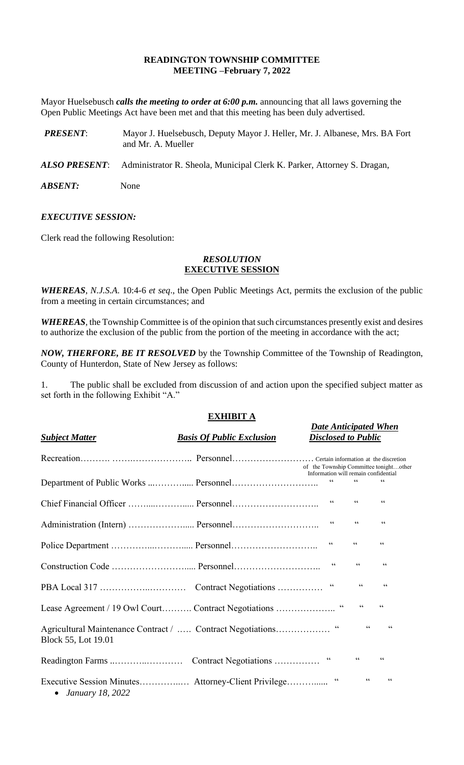# **READINGTON TOWNSHIP COMMITTEE MEETING –February 7, 2022**

Mayor Huelsebusch *calls the meeting to order at 6:00 p.m.* announcing that all laws governing the Open Public Meetings Act have been met and that this meeting has been duly advertised.

- *PRESENT*: Mayor J. Huelsebusch, Deputy Mayor J. Heller, Mr. J. Albanese, Mrs. BA Fort and Mr. A. Mueller
- *ALSO PRESENT*: Administrator R. Sheola, Municipal Clerk K. Parker, Attorney S. Dragan,

*ABSENT:* None

## *EXECUTIVE SESSION:*

Clerk read the following Resolution:

# *RESOLUTION* **EXECUTIVE SESSION**

*WHEREAS*, *N.J.S.A*. 10:4-6 *et seq*., the Open Public Meetings Act, permits the exclusion of the public from a meeting in certain circumstances; and

*WHEREAS,* the Township Committee is of the opinion that such circumstances presently exist and desires to authorize the exclusion of the public from the portion of the meeting in accordance with the act;

*NOW, THERFORE, BE IT RESOLVED* by the Township Committee of the Township of Readington, County of Hunterdon, State of New Jersey as follows:

1. The public shall be excluded from discussion of and action upon the specified subject matter as set forth in the following Exhibit "A."

# **EXHIBIT A**

| <b>Subject Matter</b>                                                             | <b>Basis Of Public Exclusion</b> | <b>Date Anticipated When</b><br><b>Disclosed to Public</b> |                  |                          |
|-----------------------------------------------------------------------------------|----------------------------------|------------------------------------------------------------|------------------|--------------------------|
|                                                                                   |                                  | of the Township Committee tonightother                     |                  |                          |
| Department of Public Works  Personnel                                             |                                  | Information will remain confidential<br>$\zeta \, \zeta$   | $\zeta\,\zeta$   | 66                       |
|                                                                                   |                                  | $\zeta \, \zeta$                                           | $\zeta \, \zeta$ | $\zeta\,\zeta$           |
|                                                                                   |                                  | $\textsf{G}\,\textsf{G}$                                   | $\zeta\,\zeta$   | $\zeta$ $\zeta$          |
|                                                                                   |                                  | $\zeta$ $\zeta$                                            | $\zeta \, \zeta$ | $\zeta\,\zeta$           |
|                                                                                   |                                  | 66                                                         | $\,$ G $\,$      | $\zeta$ $\zeta$          |
|                                                                                   |                                  | $\sqrt{6}$                                                 | $\zeta$ $\zeta$  | $\zeta\,\zeta$           |
|                                                                                   |                                  |                                                            | $\zeta \zeta$    | 66                       |
| Agricultural Maintenance Contract /  Contract Negotiations<br>Block 55, Lot 19.01 |                                  | $\,$ G $\,$                                                | 66               | $\zeta \zeta$            |
|                                                                                   |                                  | $\,$ G $\,$                                                | $\zeta \, \zeta$ | $\mbox{\bf G}$           |
| • January 18, 2022                                                                |                                  | $\zeta\,\zeta$                                             | $\zeta \, \zeta$ | $\textsf{G}\,\textsf{G}$ |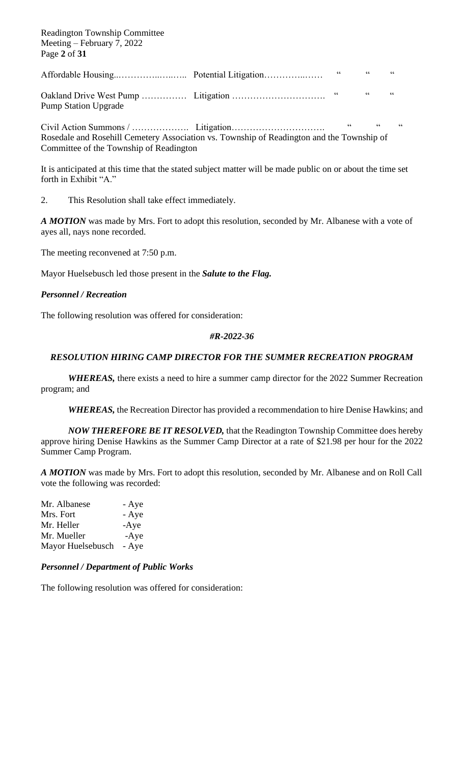Readington Township Committee Meeting – February 7, 2022 Page **2** of **31**

Affordable Housing..…………..…..….. Potential Litigation…………..…… " " "

Oakland Drive West Pump …………… Litigation …………………………. " " " Pump Station Upgrade

Civil Action Summons / ………………. Litigation…………………………. " " " Rosedale and Rosehill Cemetery Association vs. Township of Readington and the Township of Committee of the Township of Readington

It is anticipated at this time that the stated subject matter will be made public on or about the time set forth in Exhibit "A."

2. This Resolution shall take effect immediately.

*A MOTION* was made by Mrs. Fort to adopt this resolution, seconded by Mr. Albanese with a vote of ayes all, nays none recorded.

The meeting reconvened at 7:50 p.m.

Mayor Huelsebusch led those present in the *Salute to the Flag.*

# *Personnel / Recreation*

The following resolution was offered for consideration:

#### *#R-2022-36*

# *RESOLUTION HIRING CAMP DIRECTOR FOR THE SUMMER RECREATION PROGRAM*

*WHEREAS,* there exists a need to hire a summer camp director for the 2022 Summer Recreation program; and

*WHEREAS,* the Recreation Director has provided a recommendation to hire Denise Hawkins; and

*NOW THEREFORE BE IT RESOLVED,* that the Readington Township Committee does hereby approve hiring Denise Hawkins as the Summer Camp Director at a rate of \$21.98 per hour for the 2022 Summer Camp Program.

*A MOTION* was made by Mrs. Fort to adopt this resolution, seconded by Mr. Albanese and on Roll Call vote the following was recorded:

Mr. Albanese - Aye Mrs. Fort - Aye Mr. Heller -Aye Mr. Mueller -Aye Mayor Huelsebusch - Aye

#### *Personnel / Department of Public Works*

The following resolution was offered for consideration: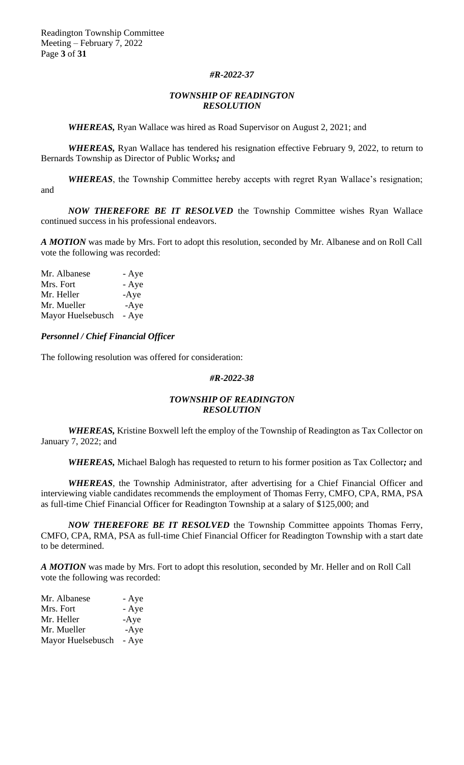Readington Township Committee Meeting – February 7, 2022 Page **3** of **31**

#### *#R-2022-37*

#### *TOWNSHIP OF READINGTON RESOLUTION*

*WHEREAS,* Ryan Wallace was hired as Road Supervisor on August 2, 2021; and

*WHEREAS, Ryan Wallace has tendered his resignation effective February 9, 2022, to return to* Bernards Township as Director of Public Works*;* and

*WHEREAS*, the Township Committee hereby accepts with regret Ryan Wallace's resignation; and

*NOW THEREFORE BE IT RESOLVED* the Township Committee wishes Ryan Wallace continued success in his professional endeavors.

*A MOTION* was made by Mrs. Fort to adopt this resolution, seconded by Mr. Albanese and on Roll Call vote the following was recorded:

| Mr. Albanese      | - Aye  |
|-------------------|--------|
| Mrs. Fort         | - Aye  |
| Mr. Heller        | $-Aye$ |
| Mr. Mueller       | $-Aye$ |
| Mayor Huelsebusch | - Aye  |

*Personnel / Chief Financial Officer*

The following resolution was offered for consideration:

#### *#R-2022-38*

#### *TOWNSHIP OF READINGTON RESOLUTION*

*WHEREAS,* Kristine Boxwell left the employ of the Township of Readington as Tax Collector on January 7, 2022; and

*WHEREAS,* Michael Balogh has requested to return to his former position as Tax Collector*;* and

*WHEREAS*, the Township Administrator, after advertising for a Chief Financial Officer and interviewing viable candidates recommends the employment of Thomas Ferry, CMFO, CPA, RMA, PSA as full-time Chief Financial Officer for Readington Township at a salary of \$125,000; and

*NOW THEREFORE BE IT RESOLVED* the Township Committee appoints Thomas Ferry, CMFO, CPA, RMA, PSA as full-time Chief Financial Officer for Readington Township with a start date to be determined.

*A MOTION* was made by Mrs. Fort to adopt this resolution, seconded by Mr. Heller and on Roll Call vote the following was recorded:

| Mr. Albanese      | - Aye  |
|-------------------|--------|
| Mrs. Fort         | - Aye  |
| Mr. Heller        | $-Aye$ |
| Mr. Mueller       | $-Aye$ |
| Mayor Huelsebusch | - Aye  |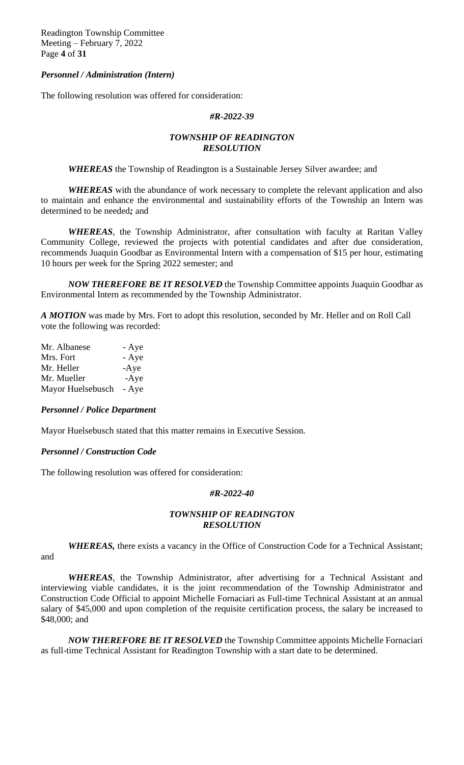Readington Township Committee Meeting – February 7, 2022 Page **4** of **31**

#### *Personnel / Administration (Intern)*

The following resolution was offered for consideration:

#### *#R-2022-39*

## *TOWNSHIP OF READINGTON RESOLUTION*

*WHEREAS* the Township of Readington is a Sustainable Jersey Silver awardee; and

*WHEREAS* with the abundance of work necessary to complete the relevant application and also to maintain and enhance the environmental and sustainability efforts of the Township an Intern was determined to be needed*;* and

*WHEREAS*, the Township Administrator, after consultation with faculty at Raritan Valley Community College, reviewed the projects with potential candidates and after due consideration, recommends Juaquin Goodbar as Environmental Intern with a compensation of \$15 per hour, estimating 10 hours per week for the Spring 2022 semester; and

*NOW THEREFORE BE IT RESOLVED* the Township Committee appoints Juaquin Goodbar as Environmental Intern as recommended by the Township Administrator.

*A MOTION* was made by Mrs. Fort to adopt this resolution, seconded by Mr. Heller and on Roll Call vote the following was recorded:

| Mr. Albanese      | - Aye  |
|-------------------|--------|
| Mrs. Fort         | - Aye  |
| Mr. Heller        | $-Aye$ |
| Mr. Mueller       | $-Aye$ |
| Mayor Huelsebusch | - Aye  |
|                   |        |

#### *Personnel / Police Department*

Mayor Huelsebusch stated that this matter remains in Executive Session.

#### *Personnel / Construction Code*

The following resolution was offered for consideration:

#### *#R-2022-40*

## *TOWNSHIP OF READINGTON RESOLUTION*

*WHEREAS,* there exists a vacancy in the Office of Construction Code for a Technical Assistant; and

*WHEREAS*, the Township Administrator, after advertising for a Technical Assistant and interviewing viable candidates, it is the joint recommendation of the Township Administrator and Construction Code Official to appoint Michelle Fornaciari as Full-time Technical Assistant at an annual salary of \$45,000 and upon completion of the requisite certification process, the salary be increased to \$48,000; and

*NOW THEREFORE BE IT RESOLVED* the Township Committee appoints Michelle Fornaciari as full-time Technical Assistant for Readington Township with a start date to be determined.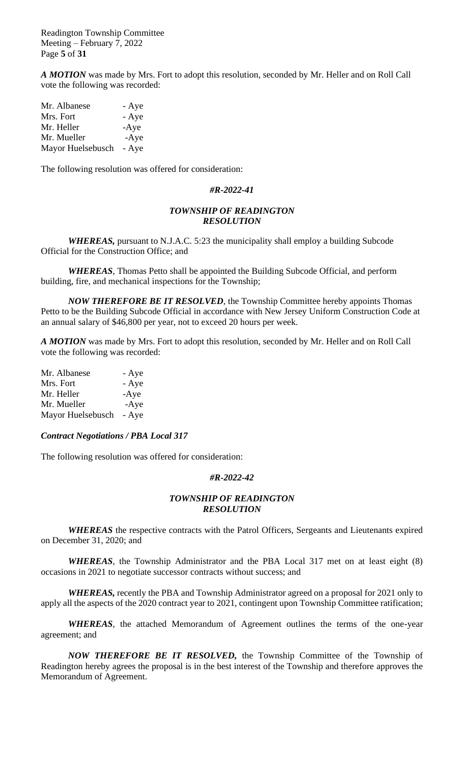Readington Township Committee Meeting – February 7, 2022 Page **5** of **31**

*A MOTION* was made by Mrs. Fort to adopt this resolution, seconded by Mr. Heller and on Roll Call vote the following was recorded:

| Mr. Albanese      | - Aye  |
|-------------------|--------|
| Mrs. Fort         | - Aye  |
| Mr. Heller        | $-Aye$ |
| Mr. Mueller       | $-Aye$ |
| Mayor Huelsebusch | - Aye  |

The following resolution was offered for consideration:

#### *#R-2022-41*

#### *TOWNSHIP OF READINGTON RESOLUTION*

*WHEREAS,* pursuant to N.J.A.C. 5:23 the municipality shall employ a building Subcode Official for the Construction Office; and

*WHEREAS*, Thomas Petto shall be appointed the Building Subcode Official, and perform building, fire, and mechanical inspections for the Township;

*NOW THEREFORE BE IT RESOLVED*, the Township Committee hereby appoints Thomas Petto to be the Building Subcode Official in accordance with New Jersey Uniform Construction Code at an annual salary of \$46,800 per year, not to exceed 20 hours per week.

*A MOTION* was made by Mrs. Fort to adopt this resolution, seconded by Mr. Heller and on Roll Call vote the following was recorded:

| Mr. Albanese      | - Aye  |
|-------------------|--------|
| Mrs. Fort         | - Aye  |
| Mr. Heller        | $-Aye$ |
| Mr. Mueller       | $-Aye$ |
| Mayor Huelsebusch | - Aye  |

#### *Contract Negotiations / PBA Local 317*

The following resolution was offered for consideration:

## *#R-2022-42*

## *TOWNSHIP OF READINGTON RESOLUTION*

*WHEREAS* the respective contracts with the Patrol Officers, Sergeants and Lieutenants expired on December 31, 2020; and

*WHEREAS*, the Township Administrator and the PBA Local 317 met on at least eight (8) occasions in 2021 to negotiate successor contracts without success; and

*WHEREAS,* recently the PBA and Township Administrator agreed on a proposal for 2021 only to apply all the aspects of the 2020 contract year to 2021, contingent upon Township Committee ratification;

*WHEREAS*, the attached Memorandum of Agreement outlines the terms of the one-year agreement; and

*NOW THEREFORE BE IT RESOLVED,* the Township Committee of the Township of Readington hereby agrees the proposal is in the best interest of the Township and therefore approves the Memorandum of Agreement.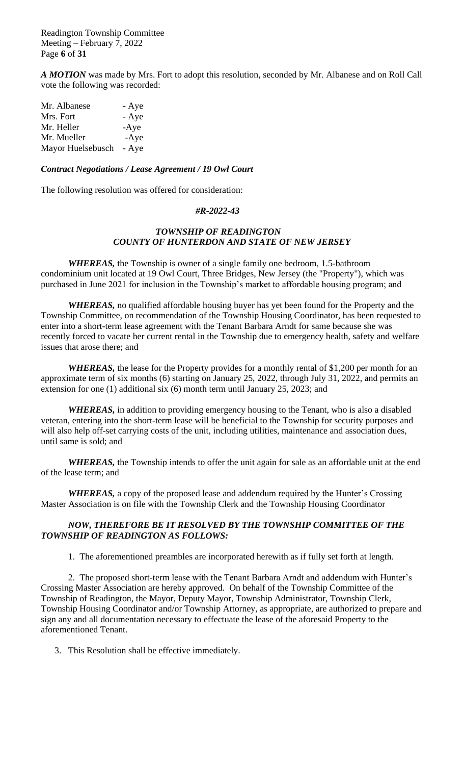Readington Township Committee Meeting – February 7, 2022 Page **6** of **31**

*A MOTION* was made by Mrs. Fort to adopt this resolution, seconded by Mr. Albanese and on Roll Call vote the following was recorded:

| Mr. Albanese      | - Aye  |
|-------------------|--------|
| Mrs. Fort         | - Aye  |
| Mr. Heller        | $-Aye$ |
| Mr. Mueller       | $-Aye$ |
| Mayor Huelsebusch | - Aye  |

#### *Contract Negotiations / Lease Agreement / 19 Owl Court*

The following resolution was offered for consideration:

#### *#R-2022-43*

#### *TOWNSHIP OF READINGTON COUNTY OF HUNTERDON AND STATE OF NEW JERSEY*

*WHEREAS,* the Township is owner of a single family one bedroom, 1.5-bathroom condominium unit located at 19 Owl Court, Three Bridges, New Jersey (the "Property"), which was purchased in June 2021 for inclusion in the Township's market to affordable housing program; and

*WHEREAS,* no qualified affordable housing buyer has yet been found for the Property and the Township Committee, on recommendation of the Township Housing Coordinator, has been requested to enter into a short-term lease agreement with the Tenant Barbara Arndt for same because she was recently forced to vacate her current rental in the Township due to emergency health, safety and welfare issues that arose there; and

*WHEREAS,* the lease for the Property provides for a monthly rental of \$1,200 per month for an approximate term of six months (6) starting on January 25, 2022, through July 31, 2022, and permits an extension for one (1) additional six (6) month term until January 25, 2023; and

*WHEREAS,* in addition to providing emergency housing to the Tenant, who is also a disabled veteran, entering into the short-term lease will be beneficial to the Township for security purposes and will also help off-set carrying costs of the unit, including utilities, maintenance and association dues, until same is sold; and

*WHEREAS,* the Township intends to offer the unit again for sale as an affordable unit at the end of the lease term; and

*WHEREAS,* a copy of the proposed lease and addendum required by the Hunter's Crossing Master Association is on file with the Township Clerk and the Township Housing Coordinator

## *NOW, THEREFORE BE IT RESOLVED BY THE TOWNSHIP COMMITTEE OF THE TOWNSHIP OF READINGTON AS FOLLOWS:*

1. The aforementioned preambles are incorporated herewith as if fully set forth at length.

2. The proposed short-term lease with the Tenant Barbara Arndt and addendum with Hunter's Crossing Master Association are hereby approved. On behalf of the Township Committee of the Township of Readington, the Mayor, Deputy Mayor, Township Administrator, Township Clerk, Township Housing Coordinator and/or Township Attorney, as appropriate, are authorized to prepare and sign any and all documentation necessary to effectuate the lease of the aforesaid Property to the aforementioned Tenant.

3. This Resolution shall be effective immediately.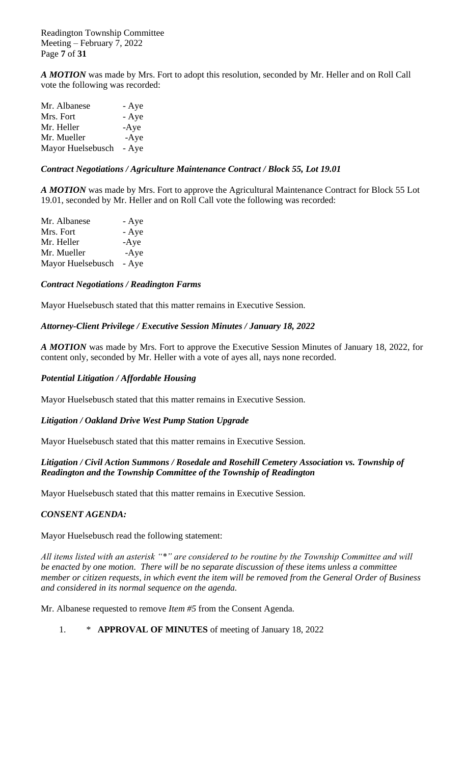Readington Township Committee Meeting – February 7, 2022 Page **7** of **31**

*A MOTION* was made by Mrs. Fort to adopt this resolution, seconded by Mr. Heller and on Roll Call vote the following was recorded:

| Mr. Albanese      | - Aye  |
|-------------------|--------|
| Mrs. Fort         | - Aye  |
| Mr. Heller        | $-Aye$ |
| Mr. Mueller       | $-Aye$ |
| Mayor Huelsebusch | - Aye  |

# *Contract Negotiations / Agriculture Maintenance Contract / Block 55, Lot 19.01*

*A MOTION* was made by Mrs. Fort to approve the Agricultural Maintenance Contract for Block 55 Lot 19.01, seconded by Mr. Heller and on Roll Call vote the following was recorded:

| Mr. Albanese      | - Aye  |
|-------------------|--------|
| Mrs. Fort         | - Aye  |
| Mr. Heller        | $-Aye$ |
| Mr. Mueller       | $-Aye$ |
| Mayor Huelsebusch | - Aye  |

## *Contract Negotiations / Readington Farms*

Mayor Huelsebusch stated that this matter remains in Executive Session.

## *Attorney-Client Privilege / Executive Session Minutes / January 18, 2022*

*A MOTION* was made by Mrs. Fort to approve the Executive Session Minutes of January 18, 2022, for content only, seconded by Mr. Heller with a vote of ayes all, nays none recorded.

## *Potential Litigation / Affordable Housing*

Mayor Huelsebusch stated that this matter remains in Executive Session.

## *Litigation / Oakland Drive West Pump Station Upgrade*

Mayor Huelsebusch stated that this matter remains in Executive Session.

## *Litigation / Civil Action Summons / Rosedale and Rosehill Cemetery Association vs. Township of Readington and the Township Committee of the Township of Readington*

Mayor Huelsebusch stated that this matter remains in Executive Session.

## *CONSENT AGENDA:*

Mayor Huelsebusch read the following statement:

*All items listed with an asterisk "\*" are considered to be routine by the Township Committee and will be enacted by one motion. There will be no separate discussion of these items unless a committee member or citizen requests, in which event the item will be removed from the General Order of Business and considered in its normal sequence on the agenda.*

Mr. Albanese requested to remove *Item #5* from the Consent Agenda.

1. \* **APPROVAL OF MINUTES** of meeting of January 18, 2022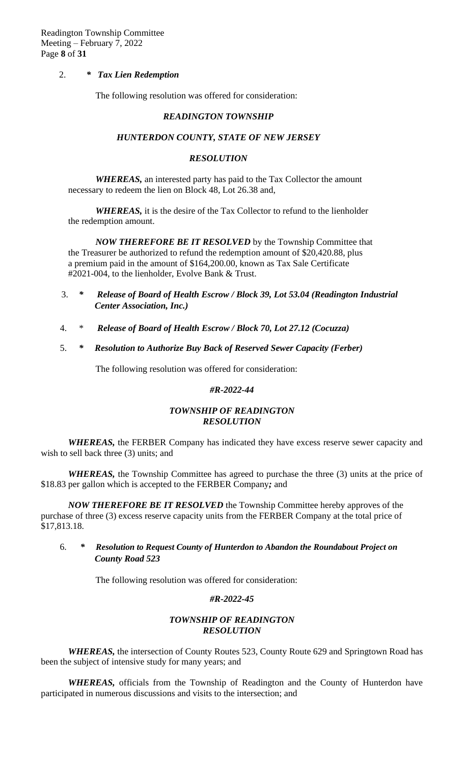#### 2. *\* Tax Lien Redemption*

The following resolution was offered for consideration:

#### *READINGTON TOWNSHIP*

#### *HUNTERDON COUNTY, STATE OF NEW JERSEY*

#### *RESOLUTION*

*WHEREAS,* an interested party has paid to the Tax Collector the amount necessary to redeem the lien on Block 48, Lot 26.38 and,

*WHEREAS,* it is the desire of the Tax Collector to refund to the lienholder the redemption amount.

*NOW THEREFORE BE IT RESOLVED* by the Township Committee that the Treasurer be authorized to refund the redemption amount of \$20,420.88, plus a premium paid in the amount of \$164,200.00, known as Tax Sale Certificate #2021-004, to the lienholder, Evolve Bank & Trust.

- 3. *\* Release of Board of Health Escrow / Block 39, Lot 53.04 (Readington Industrial Center Association, Inc.)*
- 4. \* *Release of Board of Health Escrow / Block 70, Lot 27.12 (Cocuzza)*
- 5. *\* Resolution to Authorize Buy Back of Reserved Sewer Capacity (Ferber)*

The following resolution was offered for consideration:

## *#R-2022-44*

## *TOWNSHIP OF READINGTON RESOLUTION*

*WHEREAS,* the FERBER Company has indicated they have excess reserve sewer capacity and wish to sell back three (3) units; and

*WHEREAS*, the Township Committee has agreed to purchase the three (3) units at the price of \$18.83 per gallon which is accepted to the FERBER Company*;* and

*NOW THEREFORE BE IT RESOLVED* the Township Committee hereby approves of the purchase of three (3) excess reserve capacity units from the FERBER Company at the total price of \$17,813.18.

## 6. *\* Resolution to Request County of Hunterdon to Abandon the Roundabout Project on County Road 523*

The following resolution was offered for consideration:

## *#R-2022-45*

#### *TOWNSHIP OF READINGTON RESOLUTION*

*WHEREAS,* the intersection of County Routes 523, County Route 629 and Springtown Road has been the subject of intensive study for many years; and

*WHEREAS,* officials from the Township of Readington and the County of Hunterdon have participated in numerous discussions and visits to the intersection; and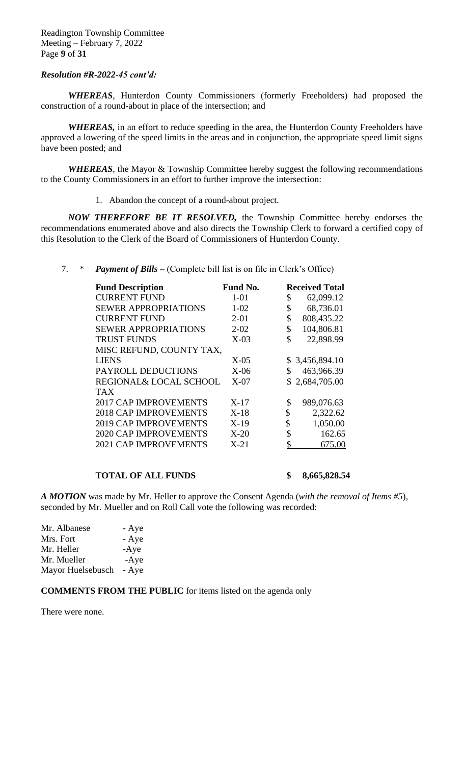#### *Resolution #R-2022-45 cont'd:*

*WHEREAS*, Hunterdon County Commissioners (formerly Freeholders) had proposed the construction of a round-about in place of the intersection; and

*WHEREAS,* in an effort to reduce speeding in the area, the Hunterdon County Freeholders have approved a lowering of the speed limits in the areas and in conjunction, the appropriate speed limit signs have been posted; and

*WHEREAS*, the Mayor & Township Committee hereby suggest the following recommendations to the County Commissioners in an effort to further improve the intersection:

1. Abandon the concept of a round-about project.

*NOW THEREFORE BE IT RESOLVED,* the Township Committee hereby endorses the recommendations enumerated above and also directs the Township Clerk to forward a certified copy of this Resolution to the Clerk of the Board of Commissioners of Hunterdon County.

7. \* *Payment of Bills –* (Complete bill list is on file in Clerk's Office)

| <b>Fund Description</b>      | Fund No. | <b>Received Total</b> |
|------------------------------|----------|-----------------------|
| <b>CURRENT FUND</b>          | $1 - 01$ | \$<br>62,099.12       |
| <b>SEWER APPROPRIATIONS</b>  | $1 - 02$ | \$<br>68,736.01       |
| <b>CURRENT FUND</b>          | $2 - 01$ | \$<br>808,435.22      |
| <b>SEWER APPROPRIATIONS</b>  | $2 - 02$ | \$<br>104,806.81      |
| <b>TRUST FUNDS</b>           | $X-03$   | \$<br>22,898.99       |
| MISC REFUND, COUNTY TAX,     |          |                       |
| <b>LIENS</b>                 | $X-05$   | \$3,456,894.10        |
| PAYROLL DEDUCTIONS           | $X-06$   | \$<br>463,966.39      |
| REGIONAL& LOCAL SCHOOL       | $X-07$   | \$2,684,705.00        |
| <b>TAX</b>                   |          |                       |
| <b>2017 CAP IMPROVEMENTS</b> | $X-17$   | \$<br>989,076.63      |
| <b>2018 CAP IMPROVEMENTS</b> | $X-18$   | \$<br>2,322.62        |
| <b>2019 CAP IMPROVEMENTS</b> | $X-19$   | \$<br>1,050.00        |
| <b>2020 CAP IMPROVEMENTS</b> | $X-20$   | \$<br>162.65          |
| <b>2021 CAP IMPROVEMENTS</b> | $X-21$   | \$<br>675.00          |
|                              |          |                       |

#### **TOTAL OF ALL FUNDS \$ 8,665,828.54**

*A MOTION* was made by Mr. Heller to approve the Consent Agenda (*with the removal of Items #5*), seconded by Mr. Mueller and on Roll Call vote the following was recorded:

| Mr. Albanese      | - Aye  |
|-------------------|--------|
| Mrs. Fort         | - Aye  |
| Mr. Heller        | $-Aye$ |
| Mr. Mueller       | $-Aye$ |
| Mayor Huelsebusch | - Aye  |

**COMMENTS FROM THE PUBLIC** for items listed on the agenda only

There were none.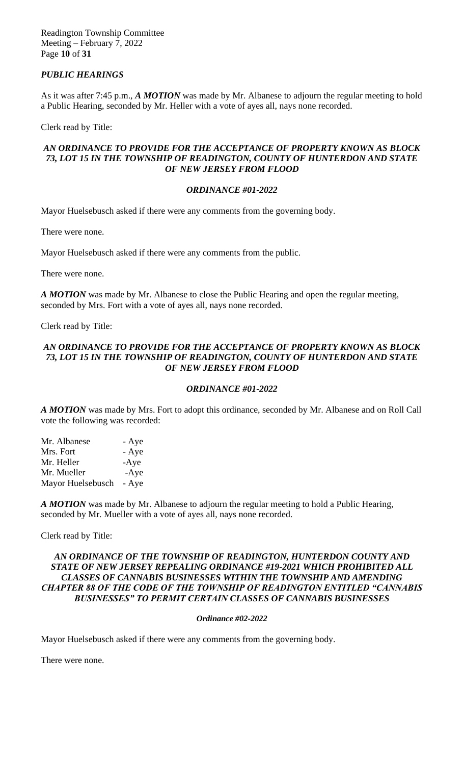Readington Township Committee Meeting – February 7, 2022 Page **10** of **31**

# *PUBLIC HEARINGS*

As it was after 7:45 p.m., *A MOTION* was made by Mr. Albanese to adjourn the regular meeting to hold a Public Hearing, seconded by Mr. Heller with a vote of ayes all, nays none recorded.

Clerk read by Title:

## *AN ORDINANCE TO PROVIDE FOR THE ACCEPTANCE OF PROPERTY KNOWN AS BLOCK 73, LOT 15 IN THE TOWNSHIP OF READINGTON, COUNTY OF HUNTERDON AND STATE OF NEW JERSEY FROM FLOOD*

# *ORDINANCE #01-2022*

Mayor Huelsebusch asked if there were any comments from the governing body.

There were none.

Mayor Huelsebusch asked if there were any comments from the public.

There were none.

*A MOTION* was made by Mr. Albanese to close the Public Hearing and open the regular meeting, seconded by Mrs. Fort with a vote of ayes all, nays none recorded.

Clerk read by Title:

# *AN ORDINANCE TO PROVIDE FOR THE ACCEPTANCE OF PROPERTY KNOWN AS BLOCK 73, LOT 15 IN THE TOWNSHIP OF READINGTON, COUNTY OF HUNTERDON AND STATE OF NEW JERSEY FROM FLOOD*

# *ORDINANCE #01-2022*

*A MOTION* was made by Mrs. Fort to adopt this ordinance*,* seconded by Mr. Albanese and on Roll Call vote the following was recorded:

| Mr. Albanese      | - Aye  |
|-------------------|--------|
| Mrs. Fort         | - Aye  |
| Mr. Heller        | $-Aye$ |
| Mr. Mueller       | $-Aye$ |
| Mayor Huelsebusch | - Aye  |

*A MOTION* was made by Mr. Albanese to adjourn the regular meeting to hold a Public Hearing, seconded by Mr. Mueller with a vote of ayes all, nays none recorded.

Clerk read by Title:

## *AN ORDINANCE OF THE TOWNSHIP OF READINGTON, HUNTERDON COUNTY AND STATE OF NEW JERSEY REPEALING ORDINANCE #19-2021 WHICH PROHIBITED ALL CLASSES OF CANNABIS BUSINESSES WITHIN THE TOWNSHIP AND AMENDING CHAPTER 88 OF THE CODE OF THE TOWNSHIP OF READINGTON ENTITLED "CANNABIS BUSINESSES" TO PERMIT CERTAIN CLASSES OF CANNABIS BUSINESSES*

## *Ordinance #02-2022*

Mayor Huelsebusch asked if there were any comments from the governing body.

There were none.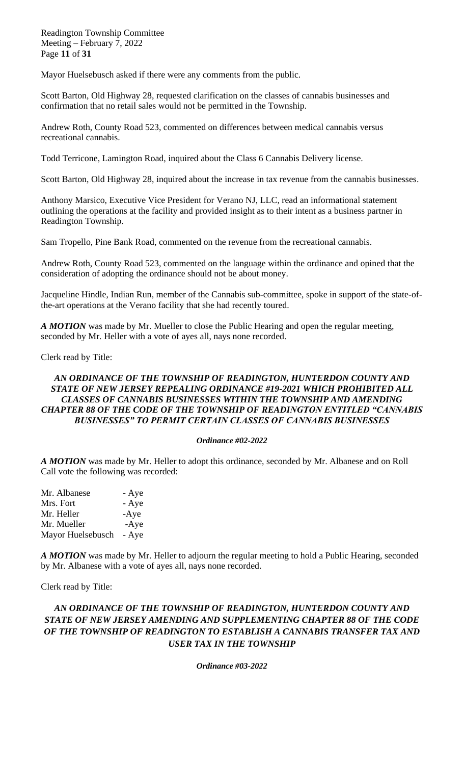Readington Township Committee Meeting – February 7, 2022 Page **11** of **31**

Mayor Huelsebusch asked if there were any comments from the public.

Scott Barton, Old Highway 28, requested clarification on the classes of cannabis businesses and confirmation that no retail sales would not be permitted in the Township.

Andrew Roth, County Road 523, commented on differences between medical cannabis versus recreational cannabis.

Todd Terricone, Lamington Road, inquired about the Class 6 Cannabis Delivery license.

Scott Barton, Old Highway 28, inquired about the increase in tax revenue from the cannabis businesses.

Anthony Marsico, Executive Vice President for Verano NJ, LLC, read an informational statement outlining the operations at the facility and provided insight as to their intent as a business partner in Readington Township.

Sam Tropello, Pine Bank Road, commented on the revenue from the recreational cannabis.

Andrew Roth, County Road 523, commented on the language within the ordinance and opined that the consideration of adopting the ordinance should not be about money.

Jacqueline Hindle, Indian Run, member of the Cannabis sub-committee, spoke in support of the state-ofthe-art operations at the Verano facility that she had recently toured.

*A MOTION* was made by Mr. Mueller to close the Public Hearing and open the regular meeting, seconded by Mr. Heller with a vote of ayes all, nays none recorded.

Clerk read by Title:

## *AN ORDINANCE OF THE TOWNSHIP OF READINGTON, HUNTERDON COUNTY AND STATE OF NEW JERSEY REPEALING ORDINANCE #19-2021 WHICH PROHIBITED ALL CLASSES OF CANNABIS BUSINESSES WITHIN THE TOWNSHIP AND AMENDING CHAPTER 88 OF THE CODE OF THE TOWNSHIP OF READINGTON ENTITLED "CANNABIS BUSINESSES" TO PERMIT CERTAIN CLASSES OF CANNABIS BUSINESSES*

#### *Ordinance #02-2022*

*A MOTION* was made by Mr. Heller to adopt this ordinance*,* seconded by Mr. Albanese and on Roll Call vote the following was recorded:

| Mr. Albanese      | - Aye  |
|-------------------|--------|
| Mrs. Fort         | - Aye  |
| Mr. Heller        | $-Aye$ |
| Mr. Mueller       | $-Aye$ |
| Mayor Huelsebusch | - Aye  |

*A MOTION* was made by Mr. Heller to adjourn the regular meeting to hold a Public Hearing, seconded by Mr. Albanese with a vote of ayes all, nays none recorded.

Clerk read by Title:

# *AN ORDINANCE OF THE TOWNSHIP OF READINGTON, HUNTERDON COUNTY AND STATE OF NEW JERSEY AMENDING AND SUPPLEMENTING CHAPTER 88 OF THE CODE OF THE TOWNSHIP OF READINGTON TO ESTABLISH A CANNABIS TRANSFER TAX AND USER TAX IN THE TOWNSHIP*

*Ordinance #03-2022*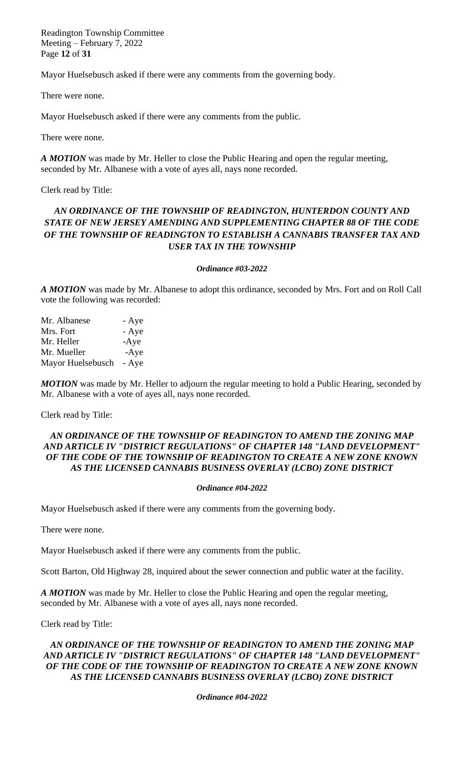Readington Township Committee Meeting – February 7, 2022 Page **12** of **31**

Mayor Huelsebusch asked if there were any comments from the governing body.

There were none.

Mayor Huelsebusch asked if there were any comments from the public.

There were none.

*A MOTION* was made by Mr. Heller to close the Public Hearing and open the regular meeting, seconded by Mr. Albanese with a vote of ayes all, nays none recorded.

Clerk read by Title:

# *AN ORDINANCE OF THE TOWNSHIP OF READINGTON, HUNTERDON COUNTY AND STATE OF NEW JERSEY AMENDING AND SUPPLEMENTING CHAPTER 88 OF THE CODE OF THE TOWNSHIP OF READINGTON TO ESTABLISH A CANNABIS TRANSFER TAX AND USER TAX IN THE TOWNSHIP*

#### *Ordinance #03-2022*

*A MOTION* was made by Mr. Albanese to adopt this ordinance*,* seconded by Mrs. Fort and on Roll Call vote the following was recorded:

| Mr. Albanese      | - Aye  |
|-------------------|--------|
| Mrs. Fort         | - Aye  |
| Mr. Heller        | $-Aye$ |
| Mr. Mueller       | $-Aye$ |
| Mayor Huelsebusch | - Aye  |

*MOTION* was made by Mr. Heller to adjourn the regular meeting to hold a Public Hearing, seconded by Mr. Albanese with a vote of ayes all, nays none recorded.

Clerk read by Title:

# *AN ORDINANCE OF THE TOWNSHIP OF READINGTON TO AMEND THE ZONING MAP AND ARTICLE IV "DISTRICT REGULATIONS" OF CHAPTER 148 "LAND DEVELOPMENT" OF THE CODE OF THE TOWNSHIP OF READINGTON TO CREATE A NEW ZONE KNOWN AS THE LICENSED CANNABIS BUSINESS OVERLAY (LCBO) ZONE DISTRICT*

#### *Ordinance #04-2022*

Mayor Huelsebusch asked if there were any comments from the governing body.

There were none.

Mayor Huelsebusch asked if there were any comments from the public.

Scott Barton, Old Highway 28, inquired about the sewer connection and public water at the facility.

*A MOTION* was made by Mr. Heller to close the Public Hearing and open the regular meeting, seconded by Mr. Albanese with a vote of ayes all, nays none recorded.

Clerk read by Title:

# *AN ORDINANCE OF THE TOWNSHIP OF READINGTON TO AMEND THE ZONING MAP AND ARTICLE IV "DISTRICT REGULATIONS" OF CHAPTER 148 "LAND DEVELOPMENT" OF THE CODE OF THE TOWNSHIP OF READINGTON TO CREATE A NEW ZONE KNOWN AS THE LICENSED CANNABIS BUSINESS OVERLAY (LCBO) ZONE DISTRICT*

*Ordinance #04-2022*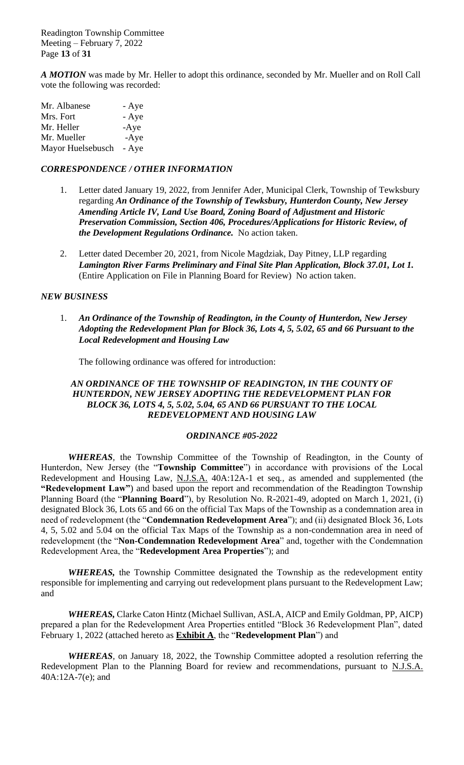Readington Township Committee Meeting – February 7, 2022 Page **13** of **31**

*A MOTION* was made by Mr. Heller to adopt this ordinance*,* seconded by Mr. Mueller and on Roll Call vote the following was recorded:

| Mr. Albanese      | - Aye  |
|-------------------|--------|
| Mrs. Fort         | - Aye  |
| Mr. Heller        | $-Aye$ |
| Mr. Mueller       | $-Aye$ |
| Mayor Huelsebusch | - Aye  |

## *CORRESPONDENCE / OTHER INFORMATION*

- 1. Letter dated January 19, 2022, from Jennifer Ader, Municipal Clerk, Township of Tewksbury regarding *An Ordinance of the Township of Tewksbury, Hunterdon County, New Jersey Amending Article IV, Land Use Board, Zoning Board of Adjustment and Historic Preservation Commission, Section 406, Procedures/Applications for Historic Review, of the Development Regulations Ordinance.* No action taken.
- 2. Letter dated December 20, 2021, from Nicole Magdziak, Day Pitney, LLP regarding *Lamington River Farms Preliminary and Final Site Plan Application, Block 37.01, Lot 1.*  (Entire Application on File in Planning Board for Review) No action taken.

#### *NEW BUSINESS*

1. *An Ordinance of the Township of Readington, in the County of Hunterdon, New Jersey Adopting the Redevelopment Plan for Block 36, Lots 4, 5, 5.02, 65 and 66 Pursuant to the Local Redevelopment and Housing Law*

The following ordinance was offered for introduction:

## AN ORDINANCE OF THE TOWNSHIP OF READINGTON, IN THE COUNTY OF *HUNTERDON, NEW JERSEY ADOPTING THE REDEVELOPMENT PLAN FOR BLOCK 36, LOTS 4, 5, 5.02, 5.04, 65 AND 66 PURSUANT TO THE LOCAL REDEVELOPMENT AND HOUSING LAW*

#### *ORDINANCE #05-2022*

*WHEREAS,* the Township Committee of the Township of Readington, in the County of Hunterdon, New Jersey (the "**Township Committee**") in accordance with provisions of the Local Redevelopment and Housing Law, N.J.S.A. 40A:12A-1 et seq*.,* as amended and supplemented (the **"Redevelopment Law"**) and based upon the report and recommendation of the Readington Township Planning Board (the "**Planning Board**"), by Resolution No. R-2021-49, adopted on March 1, 2021, (i) designated Block 36, Lots 65 and 66 on the official Tax Maps of the Township as a condemnation area in need of redevelopment (the "**Condemnation Redevelopment Area**"); and (ii) designated Block 36, Lots 4, 5, 5.02 and 5.04 on the official Tax Maps of the Township as a non-condemnation area in need of redevelopment (the "**Non-Condemnation Redevelopment Area**" and, together with the Condemnation Redevelopment Area, the "**Redevelopment Area Properties**"); and

*WHEREAS,* the Township Committee designated the Township as the redevelopment entity responsible for implementing and carrying out redevelopment plans pursuant to the Redevelopment Law; and

*WHEREAS,* Clarke Caton Hintz (Michael Sullivan, ASLA, AICP and Emily Goldman, PP, AICP) prepared a plan for the Redevelopment Area Properties entitled "Block 36 Redevelopment Plan", dated February 1, 2022 (attached hereto as **Exhibit A**, the "**Redevelopment Plan**") and

*WHEREAS,* on January 18, 2022, the Township Committee adopted a resolution referring the Redevelopment Plan to the Planning Board for review and recommendations, pursuant to N.J.S.A. 40A:12A-7(e); and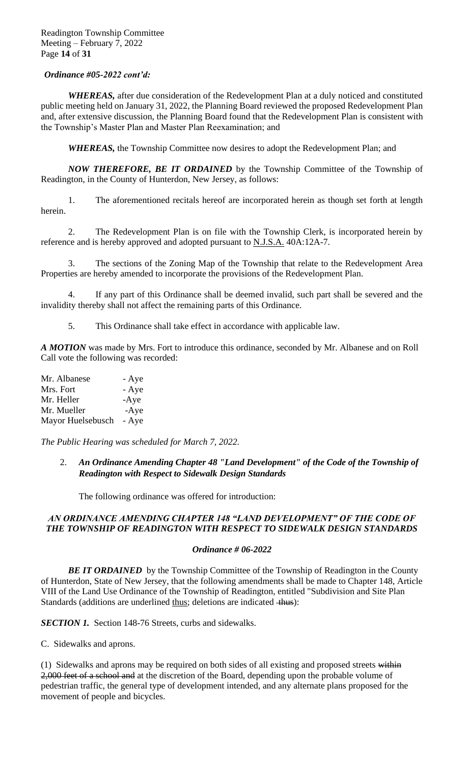*WHEREAS,* after due consideration of the Redevelopment Plan at a duly noticed and constituted public meeting held on January 31, 2022, the Planning Board reviewed the proposed Redevelopment Plan and, after extensive discussion, the Planning Board found that the Redevelopment Plan is consistent with the Township's Master Plan and Master Plan Reexamination; and

*WHEREAS,* the Township Committee now desires to adopt the Redevelopment Plan; and

*NOW THEREFORE, BE IT ORDAINED* by the Township Committee of the Township of Readington, in the County of Hunterdon, New Jersey, as follows:

1. The aforementioned recitals hereof are incorporated herein as though set forth at length herein.

2. The Redevelopment Plan is on file with the Township Clerk, is incorporated herein by reference and is hereby approved and adopted pursuant to N.J.S.A. 40A:12A-7.

3. The sections of the Zoning Map of the Township that relate to the Redevelopment Area Properties are hereby amended to incorporate the provisions of the Redevelopment Plan.

4. If any part of this Ordinance shall be deemed invalid, such part shall be severed and the invalidity thereby shall not affect the remaining parts of this Ordinance.

5. This Ordinance shall take effect in accordance with applicable law.

*A MOTION* was made by Mrs. Fort to introduce this ordinance*,* seconded by Mr. Albanese and on Roll Call vote the following was recorded:

| Mr. Albanese      | - Aye  |
|-------------------|--------|
| Mrs. Fort         | - Aye  |
| Mr. Heller        | $-Aye$ |
| Mr. Mueller       | $-Aye$ |
| Mayor Huelsebusch | - Aye  |

*The Public Hearing was scheduled for March 7, 2022.*

2. *An Ordinance Amending Chapter 48 "Land Development" of the Code of the Township of Readington with Respect to Sidewalk Design Standards*

The following ordinance was offered for introduction:

# AN ORDINANCE AMENDING CHAPTER 148 "LAND DEVELOPMENT" OF THE CODE OF *THE TOWNSHIP OF READINGTON WITH RESPECT TO SIDEWALK DESIGN STANDARDS*

## *Ordinance # 06-2022*

**BE IT ORDAINED** by the Township Committee of the Township of Readington in the County of Hunterdon, State of New Jersey, that the following amendments shall be made to Chapter 148, Article VIII of the Land Use Ordinance of the Township of Readington, entitled "Subdivision and Site Plan Standards (additions are underlined thus; deletions are indicated  $+$ hus):

*SECTION 1.* Section 148-76 Streets, curbs and sidewalks.

C. Sidewalks and aprons.

(1) Sidewalks and aprons may be required on both sides of all existing and proposed streets within 2,000 feet of a school and at the discretion of the Board, depending upon the probable volume of pedestrian traffic, the general type of development intended, and any alternate plans proposed for the movement of people and bicycles.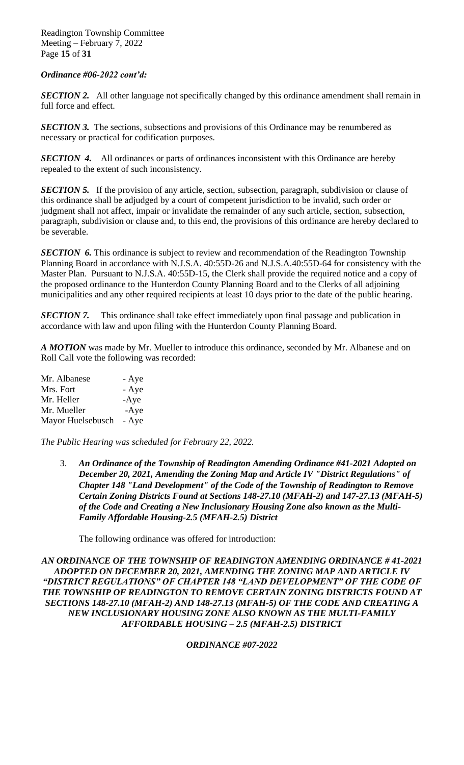Readington Township Committee Meeting – February 7, 2022 Page **15** of **31**

#### *Ordinance #06-2022 cont'd:*

*SECTION 2.* All other language not specifically changed by this ordinance amendment shall remain in full force and effect.

**SECTION 3.** The sections, subsections and provisions of this Ordinance may be renumbered as necessary or practical for codification purposes.

**SECTION 4.** All ordinances or parts of ordinances inconsistent with this Ordinance are hereby repealed to the extent of such inconsistency.

**SECTION 5.** If the provision of any article, section, subsection, paragraph, subdivision or clause of this ordinance shall be adjudged by a court of competent jurisdiction to be invalid, such order or judgment shall not affect, impair or invalidate the remainder of any such article, section, subsection, paragraph, subdivision or clause and, to this end, the provisions of this ordinance are hereby declared to be severable.

*SECTION* 6. This ordinance is subject to review and recommendation of the Readington Township Planning Board in accordance with N.J.S.A. 40:55D-26 and N.J.S.A.40:55D-64 for consistency with the Master Plan. Pursuant to N.J.S.A. 40:55D-15, the Clerk shall provide the required notice and a copy of the proposed ordinance to the Hunterdon County Planning Board and to the Clerks of all adjoining municipalities and any other required recipients at least 10 days prior to the date of the public hearing.

**SECTION 7.** This ordinance shall take effect immediately upon final passage and publication in accordance with law and upon filing with the Hunterdon County Planning Board.

*A MOTION* was made by Mr. Mueller to introduce this ordinance*,* seconded by Mr. Albanese and on Roll Call vote the following was recorded:

| Mr. Albanese      | - Aye  |
|-------------------|--------|
| Mrs. Fort         | - Aye  |
| Mr. Heller        | $-Aye$ |
| Mr. Mueller       | $-Aye$ |
| Mayor Huelsebusch | - Aye  |

*The Public Hearing was scheduled for February 22, 2022.*

3. *An Ordinance of the Township of Readington Amending Ordinance #41-2021 Adopted on December 20, 2021, Amending the Zoning Map and Article IV "District Regulations" of Chapter 148 "Land Development" of the Code of the Township of Readington to Remove Certain Zoning Districts Found at Sections 148-27.10 (MFAH-2) and 147-27.13 (MFAH-5) of the Code and Creating a New Inclusionary Housing Zone also known as the Multi-Family Affordable Housing-2.5 (MFAH-2.5) District*

The following ordinance was offered for introduction:

*AN ORDINANCE OF THE TOWNSHIP OF READINGTON AMENDING ORDINANCE # 41-2021 ADOPTED ON DECEMBER 20, 2021, AMENDING THE ZONING MAP AND ARTICLE IV*  "DISTRICT REGULATIONS" OF CHAPTER 148 "LAND DEVELOPMENT" OF THE CODE OF *THE TOWNSHIP OF READINGTON TO REMOVE CERTAIN ZONING DISTRICTS FOUND AT SECTIONS 148-27.10 (MFAH-2) AND 148-27.13 (MFAH-5) OF THE CODE AND CREATING A NEW INCLUSIONARY HOUSING ZONE ALSO KNOWN AS THE MULTI-FAMILY AFFORDABLE HOUSING – 2.5 (MFAH-2.5) DISTRICT*

#### *ORDINANCE #07-2022*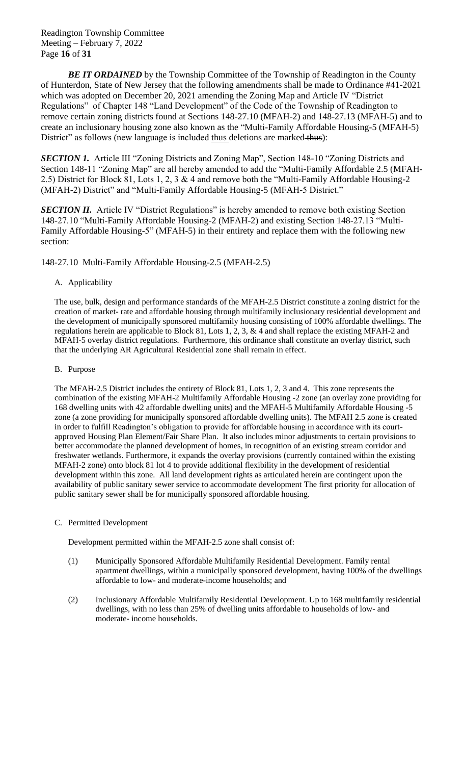Readington Township Committee Meeting – February 7, 2022 Page **16** of **31**

**BE IT ORDAINED** by the Township Committee of the Township of Readington in the County of Hunterdon, State of New Jersey that the following amendments shall be made to Ordinance #41-2021 which was adopted on December 20, 2021 amending the Zoning Map and Article IV "District Regulations" of Chapter 148 "Land Development" of the Code of the Township of Readington to remove certain zoning districts found at Sections 148-27.10 (MFAH-2) and 148-27.13 (MFAH-5) and to create an inclusionary housing zone also known as the "Multi-Family Affordable Housing-5 (MFAH-5) District" as follows (new language is included thus deletions are marked thus):

*SECTION 1.* Article III "Zoning Districts and Zoning Map", Section 148-10 "Zoning Districts and Section 148-11 "Zoning Map" are all hereby amended to add the "Multi-Family Affordable 2.5 (MFAH-2.5) District for Block 81, Lots 1, 2, 3 & 4 and remove both the "Multi-Family Affordable Housing-2 (MFAH-2) District" and "Multi-Family Affordable Housing-5 (MFAH-5 District."

**SECTION II.** Article IV "District Regulations" is hereby amended to remove both existing Section 148-27.10 "Multi-Family Affordable Housing-2 (MFAH-2) and existing Section 148-27.13 "Multi-Family Affordable Housing-5" (MFAH-5) in their entirety and replace them with the following new section:

148-27.10 Multi-Family Affordable Housing-2.5 (MFAH-2.5)

## A. Applicability

The use, bulk, design and performance standards of the MFAH-2.5 District constitute a zoning district for the creation of market- rate and affordable housing through multifamily inclusionary residential development and the development of municipally sponsored multifamily housing consisting of 100% affordable dwellings. The regulations herein are applicable to Block 81, Lots 1, 2, 3, & 4 and shall replace the existing MFAH-2 and MFAH-5 overlay district regulations. Furthermore, this ordinance shall constitute an overlay district, such that the underlying AR Agricultural Residential zone shall remain in effect.

## B. Purpose

The MFAH-2.5 District includes the entirety of Block 81, Lots 1, 2, 3 and 4. This zone represents the combination of the existing MFAH-2 Multifamily Affordable Housing -2 zone (an overlay zone providing for 168 dwelling units with 42 affordable dwelling units) and the MFAH-5 Multifamily Affordable Housing -5 zone (a zone providing for municipally sponsored affordable dwelling units). The MFAH 2.5 zone is created in order to fulfill Readington's obligation to provide for affordable housing in accordance with its courtapproved Housing Plan Element/Fair Share Plan. It also includes minor adjustments to certain provisions to better accommodate the planned development of homes, in recognition of an existing stream corridor and freshwater wetlands. Furthermore, it expands the overlay provisions (currently contained within the existing MFAH-2 zone) onto block 81 lot 4 to provide additional flexibility in the development of residential development within this zone. All land development rights as articulated herein are contingent upon the availability of public sanitary sewer service to accommodate development The first priority for allocation of public sanitary sewer shall be for municipally sponsored affordable housing.

## C. Permitted Development

Development permitted within the MFAH-2.5 zone shall consist of:

- (1) Municipally Sponsored Affordable Multifamily Residential Development. Family rental apartment dwellings, within a municipally sponsored development, having 100% of the dwellings affordable to low- and moderate-income households; and
- (2) Inclusionary Affordable Multifamily Residential Development. Up to 168 multifamily residential dwellings, with no less than 25% of dwelling units affordable to households of low- and moderate- income households.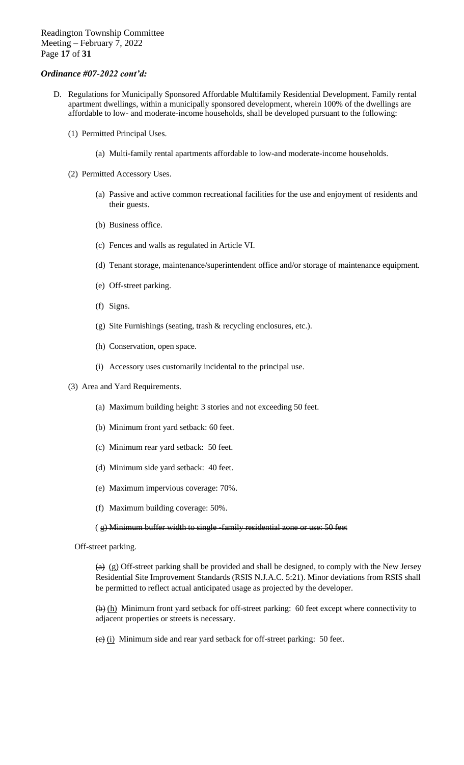- D. Regulations for Municipally Sponsored Affordable Multifamily Residential Development. Family rental apartment dwellings, within a municipally sponsored development, wherein 100% of the dwellings are affordable to low- and moderate-income households, shall be developed pursuant to the following:
	- (1) Permitted Principal Uses.
		- (a) Multi-family rental apartments affordable to low-and moderate-income households.
	- (2) Permitted Accessory Uses.
		- (a) Passive and active common recreational facilities for the use and enjoyment of residents and their guests.
		- (b) Business office.
		- (c) Fences and walls as regulated in Article VI.
		- (d) Tenant storage, maintenance/superintendent office and/or storage of maintenance equipment.
		- (e) Off-street parking.
		- (f) Signs.
		- (g) Site Furnishings (seating, trash & recycling enclosures, etc.).
		- (h) Conservation, open space.
		- (i) Accessory uses customarily incidental to the principal use.
	- (3) Area and Yard Requirements.
		- (a) Maximum building height: 3 stories and not exceeding 50 feet.
		- (b) Minimum front yard setback: 60 feet.
		- (c) Minimum rear yard setback: 50 feet.
		- (d) Minimum side yard setback: 40 feet.
		- (e) Maximum impervious coverage: 70%.
		- (f) Maximum building coverage: 50%.

#### ( g) Minimum buffer width to single -family residential zone or use: 50 feet

Off-street parking.

 $(a)$  (g) Off-street parking shall be provided and shall be designed, to comply with the New Jersey Residential Site Improvement Standards (RSIS N.J.A.C. 5:21). Minor deviations from RSIS shall be permitted to reflect actual anticipated usage as projected by the developer.

(b) (h) Minimum front yard setback for off-street parking: 60 feet except where connectivity to adjacent properties or streets is necessary.

 $\overline{(e)}$  (i) Minimum side and rear yard setback for off-street parking: 50 feet.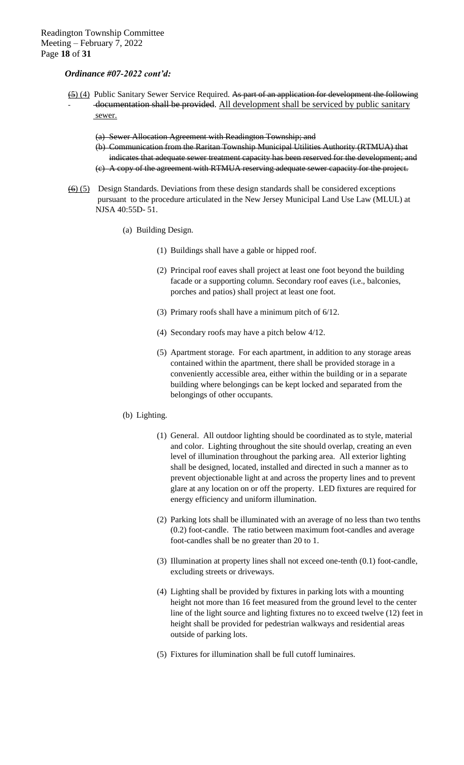- $(5)(4)$  Public Sanitary Sewer Service Required. As part of an application for development the following documentation shall be provided. All development shall be serviced by public sanitary sewer.
	- (a) Sewer Allocation Agreement with Readington Township; and
	- (b) Communication from the Raritan Township Municipal Utilities Authority (RTMUA) that indicates that adequate sewer treatment capacity has been reserved for the development; and
	- (c) A copy of the agreement with RTMUA reserving adequate sewer capacity for the project.
- $\overline{(6)}$  (5) Design Standards. Deviations from these design standards shall be considered exceptions pursuant to the procedure articulated in the New Jersey Municipal Land Use Law (MLUL) at NJSA 40:55D- 51.
	- (a) Building Design.
		- (1) Buildings shall have a gable or hipped roof.
		- (2) Principal roof eaves shall project at least one foot beyond the building facade or a supporting column. Secondary roof eaves (i.e., balconies, porches and patios) shall project at least one foot.
		- (3) Primary roofs shall have a minimum pitch of 6/12.
		- (4) Secondary roofs may have a pitch below 4/12.
		- (5) Apartment storage. For each apartment, in addition to any storage areas contained within the apartment, there shall be provided storage in a conveniently accessible area, either within the building or in a separate building where belongings can be kept locked and separated from the belongings of other occupants.

#### (b) Lighting.

- (1) General. All outdoor lighting should be coordinated as to style, material and color. Lighting throughout the site should overlap, creating an even level of illumination throughout the parking area. All exterior lighting shall be designed, located, installed and directed in such a manner as to prevent objectionable light at and across the property lines and to prevent glare at any location on or off the property. LED fixtures are required for energy efficiency and uniform illumination.
- (2) Parking lots shall be illuminated with an average of no less than two tenths (0.2) foot-candle. The ratio between maximum foot-candles and average foot-candles shall be no greater than 20 to 1.
- (3) Illumination at property lines shall not exceed one-tenth (0.1) foot-candle, excluding streets or driveways.
- (4) Lighting shall be provided by fixtures in parking lots with a mounting height not more than 16 feet measured from the ground level to the center line of the light source and lighting fixtures no to exceed twelve (12) feet in height shall be provided for pedestrian walkways and residential areas outside of parking lots.
- (5) Fixtures for illumination shall be full cutoff luminaires.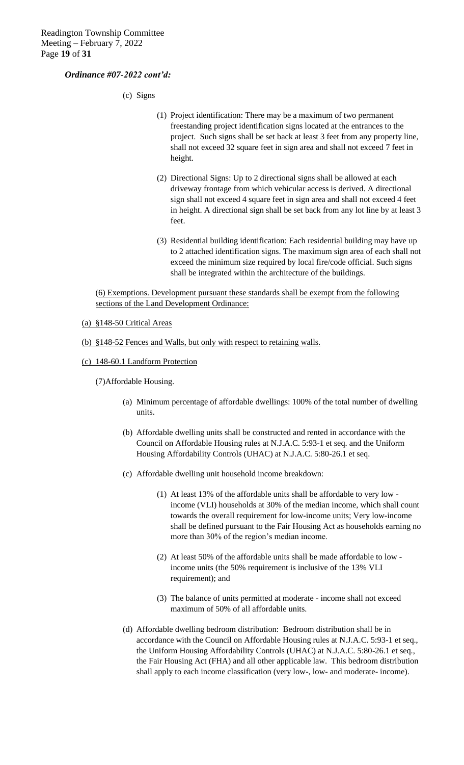(c) Signs

- (1) Project identification: There may be a maximum of two permanent freestanding project identification signs located at the entrances to the project. Such signs shall be set back at least 3 feet from any property line, shall not exceed 32 square feet in sign area and shall not exceed 7 feet in height.
- (2) Directional Signs: Up to 2 directional signs shall be allowed at each driveway frontage from which vehicular access is derived. A directional sign shall not exceed 4 square feet in sign area and shall not exceed 4 feet in height. A directional sign shall be set back from any lot line by at least 3 feet.
- (3) Residential building identification: Each residential building may have up to 2 attached identification signs. The maximum sign area of each shall not exceed the minimum size required by local fire/code official. Such signs shall be integrated within the architecture of the buildings.

(6) Exemptions. Development pursuant these standards shall be exempt from the following sections of the Land Development Ordinance:

#### (a) §148-50 Critical Areas

(b) §148-52 Fences and Walls, but only with respect to retaining walls.

#### (c) 148-60.1 Landform Protection

(7)Affordable Housing.

- (a) Minimum percentage of affordable dwellings: 100% of the total number of dwelling units.
- (b) Affordable dwelling units shall be constructed and rented in accordance with the Council on Affordable Housing rules at N.J.A.C. 5:93-1 et seq. and the Uniform Housing Affordability Controls (UHAC) at N.J.A.C. 5:80-26.1 et seq.
- (c) Affordable dwelling unit household income breakdown:
	- (1) At least 13% of the affordable units shall be affordable to very low income (VLI) households at 30% of the median income, which shall count towards the overall requirement for low-income units; Very low-income shall be defined pursuant to the Fair Housing Act as households earning no more than 30% of the region's median income.
	- (2) At least 50% of the affordable units shall be made affordable to low income units (the 50% requirement is inclusive of the 13% VLI requirement); and
	- (3) The balance of units permitted at moderate income shall not exceed maximum of 50% of all affordable units.
- (d) Affordable dwelling bedroom distribution: Bedroom distribution shall be in accordance with the Council on Affordable Housing rules at N.J.A.C. 5:93-1 et seq., the Uniform Housing Affordability Controls (UHAC) at N.J.A.C. 5:80-26.1 et seq., the Fair Housing Act (FHA) and all other applicable law. This bedroom distribution shall apply to each income classification (very low-, low- and moderate- income).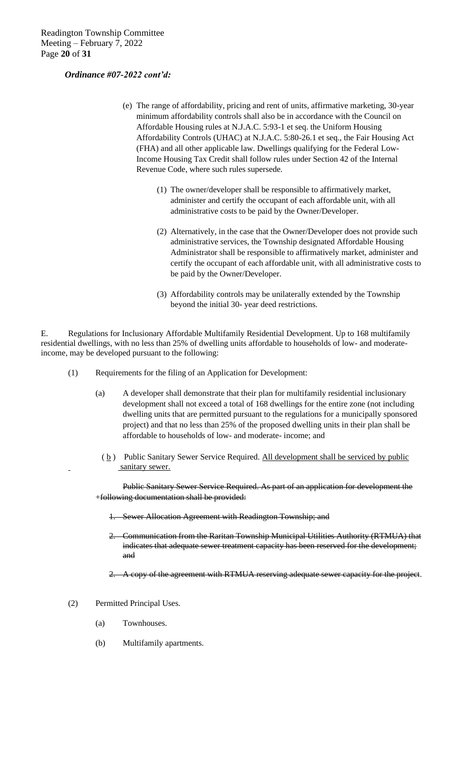- (e) The range of affordability, pricing and rent of units, affirmative marketing, 30-year minimum affordability controls shall also be in accordance with the Council on Affordable Housing rules at N.J.A.C. 5:93-1 et seq. the Uniform Housing Affordability Controls (UHAC) at N.J.A.C. 5:80-26.1 et seq., the Fair Housing Act (FHA) and all other applicable law. Dwellings qualifying for the Federal Low-Income Housing Tax Credit shall follow rules under Section 42 of the Internal Revenue Code, where such rules supersede.
	- (1) The owner/developer shall be responsible to affirmatively market, administer and certify the occupant of each affordable unit, with all administrative costs to be paid by the Owner/Developer.
	- (2) Alternatively, in the case that the Owner/Developer does not provide such administrative services, the Township designated Affordable Housing Administrator shall be responsible to affirmatively market, administer and certify the occupant of each affordable unit, with all administrative costs to be paid by the Owner/Developer.
	- (3) Affordability controls may be unilaterally extended by the Township beyond the initial 30- year deed restrictions.

E. Regulations for Inclusionary Affordable Multifamily Residential Development. Up to 168 multifamily residential dwellings, with no less than 25% of dwelling units affordable to households of low- and moderateincome, may be developed pursuant to the following:

- (1) Requirements for the filing of an Application for Development:
	- (a) A developer shall demonstrate that their plan for multifamily residential inclusionary development shall not exceed a total of 168 dwellings for the entire zone (not including dwelling units that are permitted pursuant to the regulations for a municipally sponsored project) and that no less than 25% of the proposed dwelling units in their plan shall be affordable to households of low- and moderate- income; and
		- $(\underline{b})$  Public Sanitary Sewer Service Required. All development shall be serviced by public sanitary sewer.

Public Sanitary Sewer Service Required. As part of an application for development the +following documentation shall be provided:

- 1. Sewer Allocation Agreement with Readington Township; and
- 2. Communication from the Raritan Township Municipal Utilities Authority (RTMUA) that indicates that adequate sewer treatment capacity has been reserved for the development; and

2. A copy of the agreement with RTMUA reserving adequate sewer capacity for the project.

- (2) Permitted Principal Uses.
	- (a) Townhouses.
	- (b) Multifamily apartments.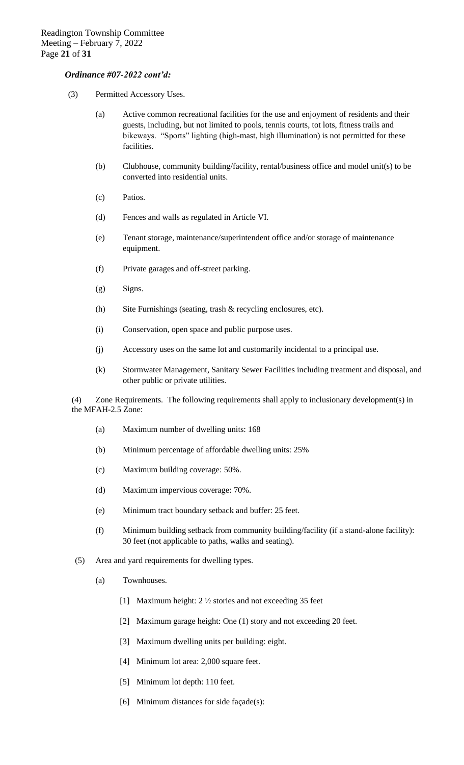- (3) Permitted Accessory Uses.
	- (a) Active common recreational facilities for the use and enjoyment of residents and their guests, including, but not limited to pools, tennis courts, tot lots, fitness trails and bikeways. "Sports" lighting (high-mast, high illumination) is not permitted for these facilities.
	- (b) Clubhouse, community building/facility, rental/business office and model unit(s) to be converted into residential units.
	- (c) Patios.
	- (d) Fences and walls as regulated in Article VI.
	- (e) Tenant storage, maintenance/superintendent office and/or storage of maintenance equipment.
	- (f) Private garages and off-street parking.
	- (g) Signs.
	- (h) Site Furnishings (seating, trash & recycling enclosures, etc).
	- (i) Conservation, open space and public purpose uses.
	- (j) Accessory uses on the same lot and customarily incidental to a principal use.
	- (k) Stormwater Management, Sanitary Sewer Facilities including treatment and disposal, and other public or private utilities.

(4) Zone Requirements. The following requirements shall apply to inclusionary development(s) in the MFAH-2.5 Zone:

- (a) Maximum number of dwelling units: 168
- (b) Minimum percentage of affordable dwelling units: 25%
- (c) Maximum building coverage: 50%.
- (d) Maximum impervious coverage: 70%.
- (e) Minimum tract boundary setback and buffer: 25 feet.
- (f) Minimum building setback from community building/facility (if a stand-alone facility): 30 feet (not applicable to paths, walks and seating).
- (5) Area and yard requirements for dwelling types.
	- (a) Townhouses.
		- [1] Maximum height: 2 ½ stories and not exceeding 35 feet
		- [2] Maximum garage height: One (1) story and not exceeding 20 feet.
		- [3] Maximum dwelling units per building: eight.
		- [4] Minimum lot area: 2,000 square feet.
		- [5] Minimum lot depth: 110 feet.
		- [6] Minimum distances for side façade(s):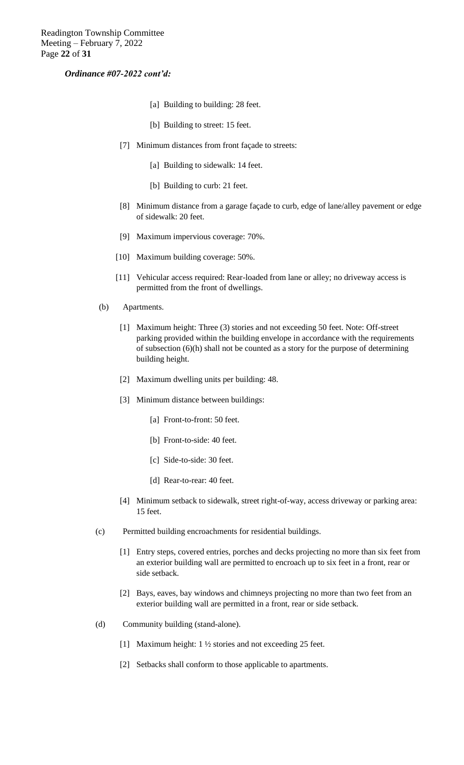- [a] Building to building: 28 feet.
- [b] Building to street: 15 feet.
- [7] Minimum distances from front façade to streets:
	- [a] Building to sidewalk: 14 feet.
	- [b] Building to curb: 21 feet.
- [8] Minimum distance from a garage façade to curb, edge of lane/alley pavement or edge of sidewalk: 20 feet.
- [9] Maximum impervious coverage: 70%.
- [10] Maximum building coverage: 50%.
- [11] Vehicular access required: Rear-loaded from lane or alley; no driveway access is permitted from the front of dwellings.
- (b) Apartments.
	- [1] Maximum height: Three (3) stories and not exceeding 50 feet. Note: Off-street parking provided within the building envelope in accordance with the requirements of subsection (6)(h) shall not be counted as a story for the purpose of determining building height.
	- [2] Maximum dwelling units per building: 48.
	- [3] Minimum distance between buildings:
		- [a] Front-to-front: 50 feet.
		- [b] Front-to-side: 40 feet.
		- [c] Side-to-side: 30 feet.
		- [d] Rear-to-rear: 40 feet.
	- [4] Minimum setback to sidewalk, street right-of-way, access driveway or parking area: 15 feet.
- (c) Permitted building encroachments for residential buildings.
	- [1] Entry steps, covered entries, porches and decks projecting no more than six feet from an exterior building wall are permitted to encroach up to six feet in a front, rear or side setback.
	- [2] Bays, eaves, bay windows and chimneys projecting no more than two feet from an exterior building wall are permitted in a front, rear or side setback.
- (d) Community building (stand-alone).
	- [1] Maximum height: 1 ½ stories and not exceeding 25 feet.
	- [2] Setbacks shall conform to those applicable to apartments.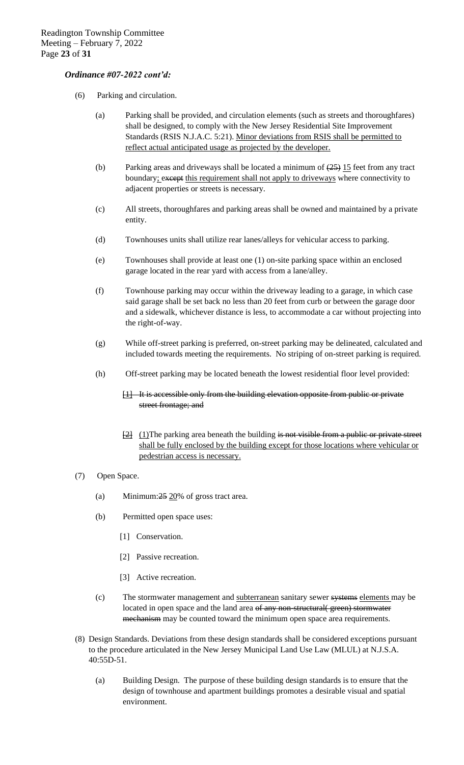- (6) Parking and circulation.
	- (a) Parking shall be provided, and circulation elements (such as streets and thoroughfares) shall be designed, to comply with the New Jersey Residential Site Improvement Standards (RSIS N.J.A.C. 5:21). Minor deviations from RSIS shall be permitted to reflect actual anticipated usage as projected by the developer.
	- (b) Parking areas and driveways shall be located a minimum of  $(25)$  15 feet from any tract boundary; except this requirement shall not apply to driveways where connectivity to adjacent properties or streets is necessary.
	- (c) All streets, thoroughfares and parking areas shall be owned and maintained by a private entity.
	- (d) Townhouses units shall utilize rear lanes/alleys for vehicular access to parking.
	- (e) Townhouses shall provide at least one (1) on-site parking space within an enclosed garage located in the rear yard with access from a lane/alley.
	- (f) Townhouse parking may occur within the driveway leading to a garage, in which case said garage shall be set back no less than 20 feet from curb or between the garage door and a sidewalk, whichever distance is less, to accommodate a car without projecting into the right-of-way.
	- (g) While off-street parking is preferred, on-street parking may be delineated, calculated and included towards meeting the requirements. No striping of on-street parking is required.
	- (h) Off-street parking may be located beneath the lowest residential floor level provided:
		- [1] It is accessible only from the building elevation opposite from public or private street frontage; and
		- $\frac{12}{2}$  (1) The parking area beneath the building is not visible from a public or private street shall be fully enclosed by the building except for those locations where vehicular or pedestrian access is necessary.
- (7) Open Space.
	- (a) Minimum: $25 \frac{20}{% }$  of gross tract area.
	- (b) Permitted open space uses:
		- [1] Conservation.
		- [2] Passive recreation.
		- [3] Active recreation.
	- (c) The stormwater management and subterranean sanitary sewer systems elements may be located in open space and the land area of any non-structural(green) stormwater mechanism may be counted toward the minimum open space area requirements.
- (8) Design Standards. Deviations from these design standards shall be considered exceptions pursuant to the procedure articulated in the New Jersey Municipal Land Use Law (MLUL) at N.J.S.A. 40:55D-51.
	- (a) Building Design. The purpose of these building design standards is to ensure that the design of townhouse and apartment buildings promotes a desirable visual and spatial environment.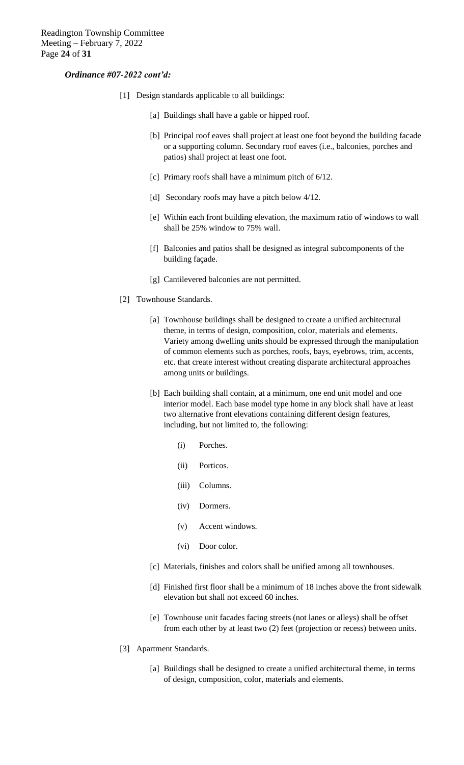- [1] Design standards applicable to all buildings:
	- [a] Buildings shall have a gable or hipped roof.
	- [b] Principal roof eaves shall project at least one foot beyond the building facade or a supporting column. Secondary roof eaves (i.e., balconies, porches and patios) shall project at least one foot.
	- [c] Primary roofs shall have a minimum pitch of 6/12.
	- [d] Secondary roofs may have a pitch below 4/12.
	- [e] Within each front building elevation, the maximum ratio of windows to wall shall be 25% window to 75% wall.
	- [f] Balconies and patios shall be designed as integral subcomponents of the building façade.
	- [g] Cantilevered balconies are not permitted.
- [2] Townhouse Standards.
	- [a] Townhouse buildings shall be designed to create a unified architectural theme, in terms of design, composition, color, materials and elements. Variety among dwelling units should be expressed through the manipulation of common elements such as porches, roofs, bays, eyebrows, trim, accents, etc. that create interest without creating disparate architectural approaches among units or buildings.
	- [b] Each building shall contain, at a minimum, one end unit model and one interior model. Each base model type home in any block shall have at least two alternative front elevations containing different design features, including, but not limited to, the following:
		- (i) Porches.
		- (ii) Porticos.
		- (iii) Columns.
		- (iv) Dormers.
		- (v) Accent windows.
		- (vi) Door color.
	- [c] Materials, finishes and colors shall be unified among all townhouses.
	- [d] Finished first floor shall be a minimum of 18 inches above the front sidewalk elevation but shall not exceed 60 inches.
	- [e] Townhouse unit facades facing streets (not lanes or alleys) shall be offset from each other by at least two (2) feet (projection or recess) between units.
- [3] Apartment Standards.
	- [a] Buildings shall be designed to create a unified architectural theme, in terms of design, composition, color, materials and elements.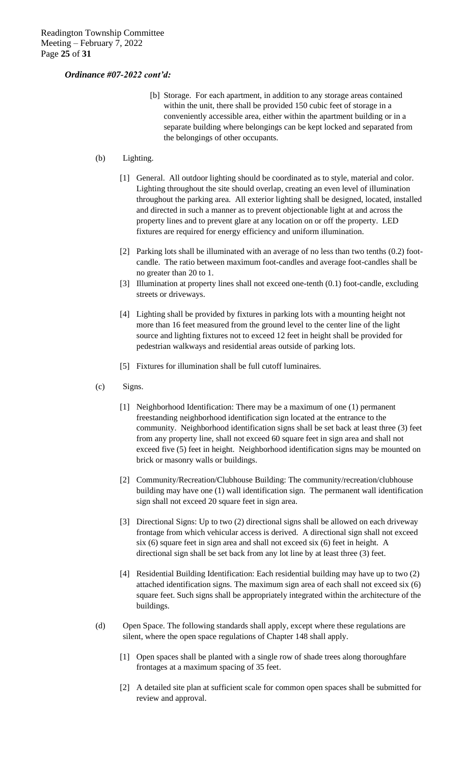- [b] Storage. For each apartment, in addition to any storage areas contained within the unit, there shall be provided 150 cubic feet of storage in a conveniently accessible area, either within the apartment building or in a separate building where belongings can be kept locked and separated from the belongings of other occupants.
- (b) Lighting.
	- [1] General. All outdoor lighting should be coordinated as to style, material and color. Lighting throughout the site should overlap, creating an even level of illumination throughout the parking area. All exterior lighting shall be designed, located, installed and directed in such a manner as to prevent objectionable light at and across the property lines and to prevent glare at any location on or off the property. LED fixtures are required for energy efficiency and uniform illumination.
	- [2] Parking lots shall be illuminated with an average of no less than two tenths (0.2) footcandle. The ratio between maximum foot-candles and average foot-candles shall be no greater than 20 to 1.
	- [3] Illumination at property lines shall not exceed one-tenth (0.1) foot-candle, excluding streets or driveways.
	- [4] Lighting shall be provided by fixtures in parking lots with a mounting height not more than 16 feet measured from the ground level to the center line of the light source and lighting fixtures not to exceed 12 feet in height shall be provided for pedestrian walkways and residential areas outside of parking lots.
	- [5] Fixtures for illumination shall be full cutoff luminaires.
- (c) Signs.
	- [1] Neighborhood Identification: There may be a maximum of one (1) permanent freestanding neighborhood identification sign located at the entrance to the community. Neighborhood identification signs shall be set back at least three (3) feet from any property line, shall not exceed 60 square feet in sign area and shall not exceed five (5) feet in height. Neighborhood identification signs may be mounted on brick or masonry walls or buildings.
	- [2] Community/Recreation/Clubhouse Building: The community/recreation/clubhouse building may have one (1) wall identification sign. The permanent wall identification sign shall not exceed 20 square feet in sign area.
	- [3] Directional Signs: Up to two (2) directional signs shall be allowed on each driveway frontage from which vehicular access is derived. A directional sign shall not exceed six (6) square feet in sign area and shall not exceed six (6) feet in height. A directional sign shall be set back from any lot line by at least three (3) feet.
	- [4] Residential Building Identification: Each residential building may have up to two (2) attached identification signs. The maximum sign area of each shall not exceed six (6) square feet. Such signs shall be appropriately integrated within the architecture of the buildings.
- (d) Open Space. The following standards shall apply, except where these regulations are silent, where the open space regulations of Chapter 148 shall apply.
	- [1] Open spaces shall be planted with a single row of shade trees along thoroughfare frontages at a maximum spacing of 35 feet.
	- [2] A detailed site plan at sufficient scale for common open spaces shall be submitted for review and approval.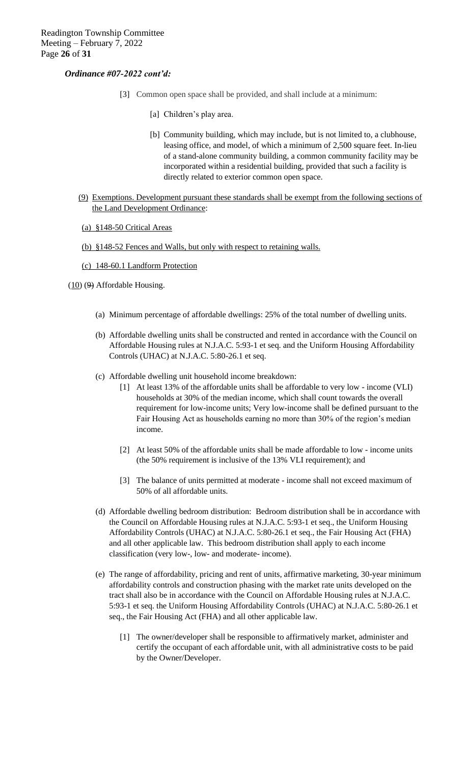- [3] Common open space shall be provided, and shall include at a minimum:
	- [a] Children's play area.
	- [b] Community building, which may include, but is not limited to, a clubhouse, leasing office, and model, of which a minimum of 2,500 square feet. In-lieu of a stand-alone community building, a common community facility may be incorporated within a residential building, provided that such a facility is directly related to exterior common open space.
- (9) Exemptions. Development pursuant these standards shall be exempt from the following sections of the Land Development Ordinance:
- (a) §148-50 Critical Areas
- (b) §148-52 Fences and Walls, but only with respect to retaining walls.

#### (c) 148-60.1 Landform Protection

- $(10)$   $(9)$  Affordable Housing.
	- (a) Minimum percentage of affordable dwellings: 25% of the total number of dwelling units.
	- (b) Affordable dwelling units shall be constructed and rented in accordance with the Council on Affordable Housing rules at N.J.A.C. 5:93-1 et seq. and the Uniform Housing Affordability Controls (UHAC) at N.J.A.C. 5:80-26.1 et seq.
	- (c) Affordable dwelling unit household income breakdown:
		- [1] At least 13% of the affordable units shall be affordable to very low income (VLI) households at 30% of the median income, which shall count towards the overall requirement for low-income units; Very low-income shall be defined pursuant to the Fair Housing Act as households earning no more than 30% of the region's median income.
		- [2] At least 50% of the affordable units shall be made affordable to low income units (the 50% requirement is inclusive of the 13% VLI requirement); and
		- [3] The balance of units permitted at moderate income shall not exceed maximum of 50% of all affordable units.
	- (d) Affordable dwelling bedroom distribution: Bedroom distribution shall be in accordance with the Council on Affordable Housing rules at N.J.A.C. 5:93-1 et seq., the Uniform Housing Affordability Controls (UHAC) at N.J.A.C. 5:80-26.1 et seq., the Fair Housing Act (FHA) and all other applicable law. This bedroom distribution shall apply to each income classification (very low-, low- and moderate- income).
	- (e) The range of affordability, pricing and rent of units, affirmative marketing, 30-year minimum affordability controls and construction phasing with the market rate units developed on the tract shall also be in accordance with the Council on Affordable Housing rules at N.J.A.C. 5:93-1 et seq. the Uniform Housing Affordability Controls (UHAC) at N.J.A.C. 5:80-26.1 et seq., the Fair Housing Act (FHA) and all other applicable law.
		- [1] The owner/developer shall be responsible to affirmatively market, administer and certify the occupant of each affordable unit, with all administrative costs to be paid by the Owner/Developer.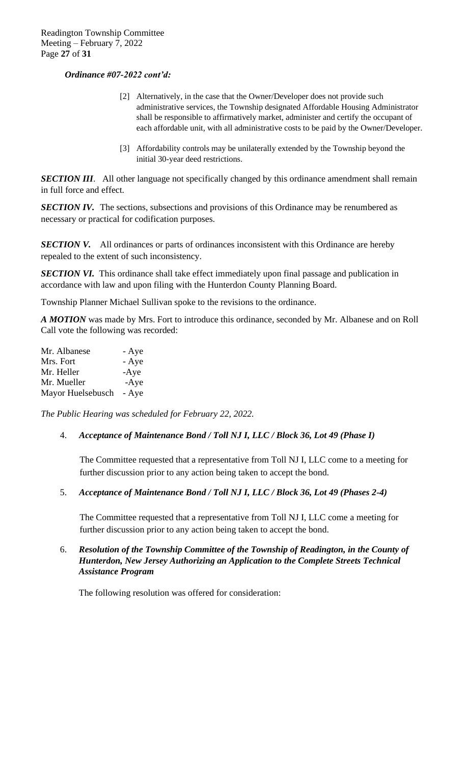- [2] Alternatively, in the case that the Owner/Developer does not provide such administrative services, the Township designated Affordable Housing Administrator shall be responsible to affirmatively market, administer and certify the occupant of each affordable unit, with all administrative costs to be paid by the Owner/Developer.
- [3] Affordability controls may be unilaterally extended by the Township beyond the initial 30-year deed restrictions.

**SECTION III**. All other language not specifically changed by this ordinance amendment shall remain in full force and effect.

**SECTION IV.** The sections, subsections and provisions of this Ordinance may be renumbered as necessary or practical for codification purposes.

**SECTION V.** All ordinances or parts of ordinances inconsistent with this Ordinance are hereby repealed to the extent of such inconsistency.

**SECTION VI.** This ordinance shall take effect immediately upon final passage and publication in accordance with law and upon filing with the Hunterdon County Planning Board.

Township Planner Michael Sullivan spoke to the revisions to the ordinance.

*A MOTION* was made by Mrs. Fort to introduce this ordinance*,* seconded by Mr. Albanese and on Roll Call vote the following was recorded:

| Mr. Albanese      | - Aye  |
|-------------------|--------|
| Mrs. Fort         | - Aye  |
| Mr. Heller        | $-Aye$ |
| Mr. Mueller       | $-Aye$ |
| Mayor Huelsebusch | - Aye  |

*The Public Hearing was scheduled for February 22, 2022.*

## 4. *Acceptance of Maintenance Bond / Toll NJ I, LLC / Block 36, Lot 49 (Phase I)*

The Committee requested that a representative from Toll NJ I, LLC come to a meeting for further discussion prior to any action being taken to accept the bond.

5. *Acceptance of Maintenance Bond / Toll NJ I, LLC / Block 36, Lot 49 (Phases 2-4)*

The Committee requested that a representative from Toll NJ I, LLC come a meeting for further discussion prior to any action being taken to accept the bond.

6. *Resolution of the Township Committee of the Township of Readington, in the County of Hunterdon, New Jersey Authorizing an Application to the Complete Streets Technical Assistance Program*

The following resolution was offered for consideration: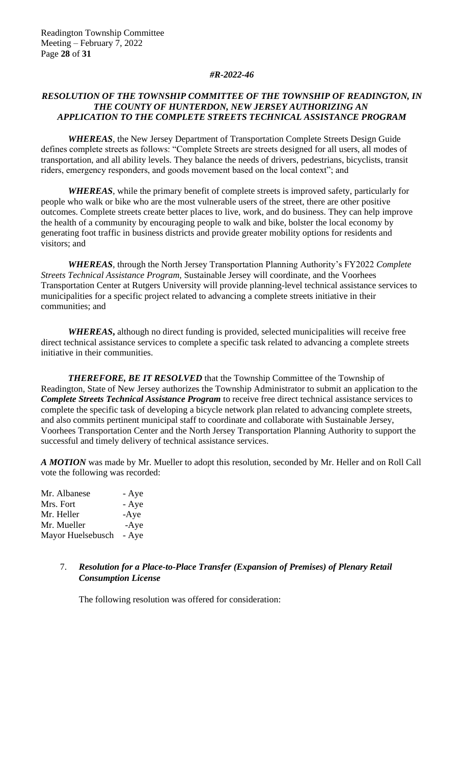#### *#R-2022-46*

# *RESOLUTION OF THE TOWNSHIP COMMITTEE OF THE TOWNSHIP OF READINGTON, IN THE COUNTY OF HUNTERDON, NEW JERSEY AUTHORIZING AN APPLICATION TO THE COMPLETE STREETS TECHNICAL ASSISTANCE PROGRAM*

*WHEREAS*, the New Jersey Department of Transportation Complete Streets Design Guide defines complete streets as follows: "Complete Streets are streets designed for all users, all modes of transportation, and all ability levels. They balance the needs of drivers, pedestrians, bicyclists, transit riders, emergency responders, and goods movement based on the local context"; and

*WHEREAS*, while the primary benefit of complete streets is improved safety, particularly for people who walk or bike who are the most vulnerable users of the street, there are other positive outcomes. Complete streets create better places to live, work, and do business. They can help improve the health of a community by encouraging people to walk and bike, bolster the local economy by generating foot traffic in business districts and provide greater mobility options for residents and visitors; and

*WHEREAS*, through the North Jersey Transportation Planning Authority's FY2022 *Complete Streets Technical Assistance Program,* Sustainable Jersey will coordinate, and the Voorhees Transportation Center at Rutgers University will provide planning-level technical assistance services to municipalities for a specific project related to advancing a complete streets initiative in their communities; and

*WHEREAS***,** although no direct funding is provided, selected municipalities will receive free direct technical assistance services to complete a specific task related to advancing a complete streets initiative in their communities.

*THEREFORE, BE IT RESOLVED* that the Township Committee of the Township of Readington, State of New Jersey authorizes the Township Administrator to submit an application to the *Complete Streets Technical Assistance Program* to receive free direct technical assistance services to complete the specific task of developing a bicycle network plan related to advancing complete streets, and also commits pertinent municipal staff to coordinate and collaborate with Sustainable Jersey, Voorhees Transportation Center and the North Jersey Transportation Planning Authority to support the successful and timely delivery of technical assistance services.

*A MOTION* was made by Mr. Mueller to adopt this resolution, seconded by Mr. Heller and on Roll Call vote the following was recorded:

Mr. Albanese - Aye Mrs. Fort - Aye Mr. Heller -Aye Mr. Mueller -Aye Mayor Huelsebusch - Aye

# 7. *Resolution for a Place-to-Place Transfer (Expansion of Premises) of Plenary Retail Consumption License*

The following resolution was offered for consideration: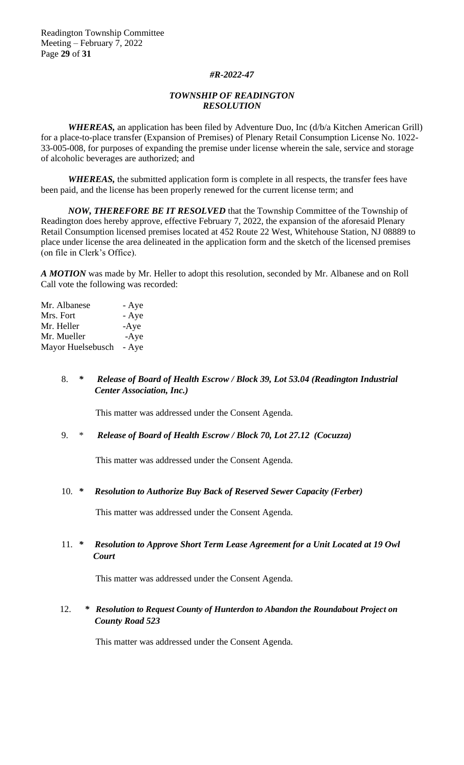## *#R-2022-47*

## *TOWNSHIP OF READINGTON RESOLUTION*

*WHEREAS,* an application has been filed by Adventure Duo, Inc (d/b/a Kitchen American Grill) for a place-to-place transfer (Expansion of Premises) of Plenary Retail Consumption License No. 1022- 33-005-008, for purposes of expanding the premise under license wherein the sale, service and storage of alcoholic beverages are authorized; and

*WHEREAS,* the submitted application form is complete in all respects, the transfer fees have been paid, and the license has been properly renewed for the current license term; and

*NOW, THEREFORE BE IT RESOLVED* that the Township Committee of the Township of Readington does hereby approve, effective February 7, 2022, the expansion of the aforesaid Plenary Retail Consumption licensed premises located at 452 Route 22 West, Whitehouse Station, NJ 08889 to place under license the area delineated in the application form and the sketch of the licensed premises (on file in Clerk's Office).

*A MOTION* was made by Mr. Heller to adopt this resolution, seconded by Mr. Albanese and on Roll Call vote the following was recorded:

| Mr. Albanese      | - Aye  |
|-------------------|--------|
| Mrs. Fort         | - Aye  |
| Mr. Heller        | $-Aye$ |
| Mr. Mueller       | $-Aye$ |
| Mayor Huelsebusch | - Aye  |

# 8. *\* Release of Board of Health Escrow / Block 39, Lot 53.04 (Readington Industrial Center Association, Inc.)*

This matter was addressed under the Consent Agenda.

## 9. \* *Release of Board of Health Escrow / Block 70, Lot 27.12 (Cocuzza)*

This matter was addressed under the Consent Agenda.

## 10. *\* Resolution to Authorize Buy Back of Reserved Sewer Capacity (Ferber)*

This matter was addressed under the Consent Agenda.

# 11. *\* Resolution to Approve Short Term Lease Agreement for a Unit Located at 19 Owl Court*

This matter was addressed under the Consent Agenda.

# 12. *\* Resolution to Request County of Hunterdon to Abandon the Roundabout Project on County Road 523*

This matter was addressed under the Consent Agenda.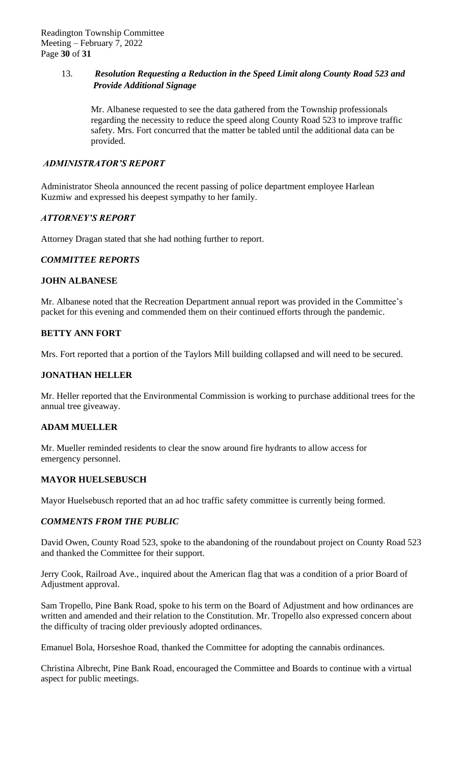# 13. *Resolution Requesting a Reduction in the Speed Limit along County Road 523 and Provide Additional Signage*

Mr. Albanese requested to see the data gathered from the Township professionals regarding the necessity to reduce the speed along County Road 523 to improve traffic safety. Mrs. Fort concurred that the matter be tabled until the additional data can be provided.

# *ADMINISTRATOR'S REPORT*

Administrator Sheola announced the recent passing of police department employee Harlean Kuzmiw and expressed his deepest sympathy to her family.

# *ATTORNEY'S REPORT*

Attorney Dragan stated that she had nothing further to report.

# *COMMITTEE REPORTS*

# **JOHN ALBANESE**

Mr. Albanese noted that the Recreation Department annual report was provided in the Committee's packet for this evening and commended them on their continued efforts through the pandemic.

# **BETTY ANN FORT**

Mrs. Fort reported that a portion of the Taylors Mill building collapsed and will need to be secured.

# **JONATHAN HELLER**

Mr. Heller reported that the Environmental Commission is working to purchase additional trees for the annual tree giveaway.

## **ADAM MUELLER**

Mr. Mueller reminded residents to clear the snow around fire hydrants to allow access for emergency personnel.

## **MAYOR HUELSEBUSCH**

Mayor Huelsebusch reported that an ad hoc traffic safety committee is currently being formed.

# *COMMENTS FROM THE PUBLIC*

David Owen, County Road 523, spoke to the abandoning of the roundabout project on County Road 523 and thanked the Committee for their support.

Jerry Cook, Railroad Ave., inquired about the American flag that was a condition of a prior Board of Adjustment approval.

Sam Tropello, Pine Bank Road, spoke to his term on the Board of Adjustment and how ordinances are written and amended and their relation to the Constitution. Mr. Tropello also expressed concern about the difficulty of tracing older previously adopted ordinances.

Emanuel Bola, Horseshoe Road, thanked the Committee for adopting the cannabis ordinances.

Christina Albrecht, Pine Bank Road, encouraged the Committee and Boards to continue with a virtual aspect for public meetings.